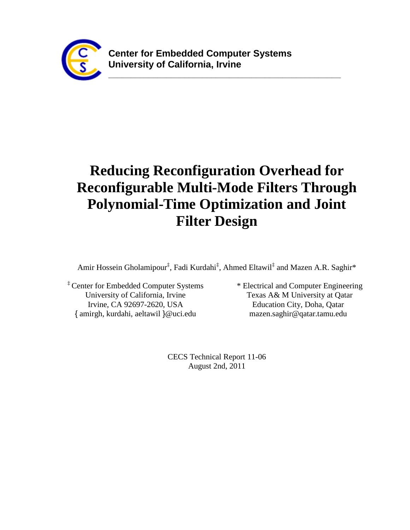

**\_\_\_\_\_\_\_\_\_\_\_\_\_\_\_\_\_\_\_\_\_\_\_\_\_\_\_\_\_\_\_\_\_\_\_\_\_\_\_\_\_\_\_\_\_\_\_\_\_\_\_\_**

# **Reducing Reconfiguration Overhead for Reconfigurable Multi-Mode Filters Through Polynomial-Time Optimization and Joint Filter Design**

Amir Hossein Gholamipour<sup>‡</sup>, Fadi Kurdahi<sup>‡</sup>, Ahmed Eltawil<sup>‡</sup> and Mazen A.R. Saghir\*

‡ Center for Embedded Computer Systems University of California, Irvine Irvine, CA 92697-2620, USA { amirgh, kurdahi, aeltawil }@uci.edu

\* Electrical and Computer Engineering Texas A& M University at Qatar Education City, Doha, Qatar mazen.saghir@qatar.tamu.edu

CECS Technical Report 11-06 August 2nd, 2011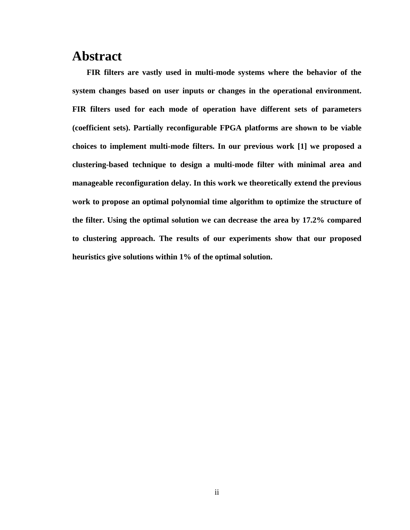# **Abstract**

**FIR filters are vastly used in multi-mode systems where the behavior of the system changes based on user inputs or changes in the operational environment. FIR filters used for each mode of operation have different sets of parameters (coefficient sets). Partially reconfigurable FPGA platforms are shown to be viable choices to implement multi-mode filters. In our previous work [\[1\]](#page-49-0) we proposed a clustering-based technique to design a multi-mode filter with minimal area and manageable reconfiguration delay. In this work we theoretically extend the previous work to propose an optimal polynomial time algorithm to optimize the structure of the filter. Using the optimal solution we can decrease the area by 17.2% compared to clustering approach. The results of our experiments show that our proposed heuristics give solutions within 1% of the optimal solution.**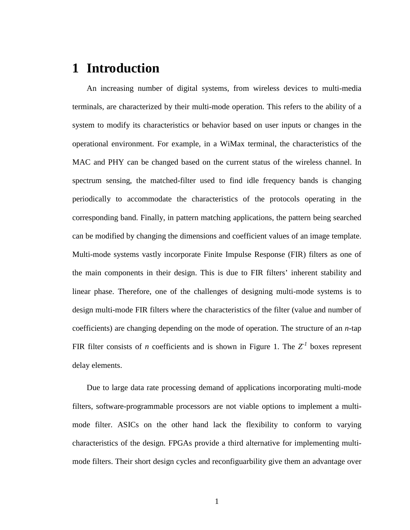# **1 Introduction**

An increasing number of digital systems, from wireless devices to multi-media terminals, are characterized by their multi-mode operation. This refers to the ability of a system to modify its characteristics or behavior based on user inputs or changes in the operational environment. For example, in a WiMax terminal, the characteristics of the MAC and PHY can be changed based on the current status of the wireless channel. In spectrum sensing, the matched-filter used to find idle frequency bands is changing periodically to accommodate the characteristics of the protocols operating in the corresponding band. Finally, in pattern matching applications, the pattern being searched can be modified by changing the dimensions and coefficient values of an image template. Multi-mode systems vastly incorporate Finite Impulse Response (FIR) filters as one of the main components in their design. This is due to FIR filters' inherent stability and linear phase. Therefore, one of the challenges of designing multi-mode systems is to design multi-mode FIR filters where the characteristics of the filter (value and number of coefficients) are changing depending on the mode of operation. The structure of an *n*-tap FIR filter consists of *n* coefficients and is shown in [Figure 1.](#page-3-0) The  $Z<sup>1</sup>$  boxes represent delay elements.

Due to large data rate processing demand of applications incorporating multi-mode filters, software-programmable processors are not viable options to implement a multimode filter. ASICs on the other hand lack the flexibility to conform to varying characteristics of the design. FPGAs provide a third alternative for implementing multimode filters. Their short design cycles and reconfiguarbility give them an advantage over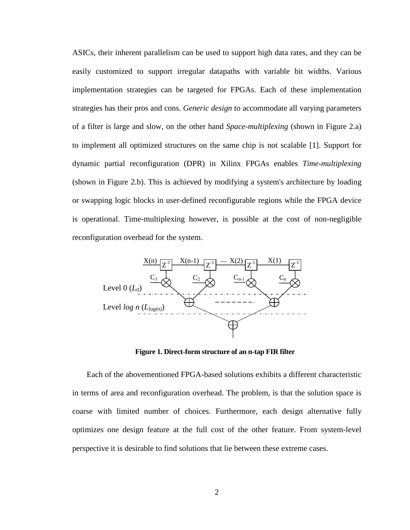ASICs, their inherent parallelism can be used to support high data rates, and they can be easily customized to support irregular datapaths with variable bit widths. Various implementation strategies can be targeted for FPGAs. Each of these implementation strategies has their pros and cons. *Generic design* to accommodate all varying parameters of a filter is large and slow, on the other hand *Space-multiplexing* (shown in [Figure 2.](#page-4-0)a) to implement all optimized structures on the same chip is not scalable [\[1\].](#page-49-0) Support for dynamic partial reconfiguration (DPR) in Xilinx FPGAs enables *Time-multiplexing*  (shown in [Figure 2.](#page-4-0)b). This is achieved by modifying a system's architecture by loading or swapping logic blocks in user-defined reconfigurable regions while the FPGA device is operational. Time-multiplexing however, is possible at the cost of non-negligible reconfiguration overhead for the system.



**Figure 1. Direct-form structure of an n-tap FIR filter**

<span id="page-3-0"></span>Each of the abovementioned FPGA-based solutions exhibits a different characteristic in terms of area and reconfiguration overhead. The problem, is that the solution space is coarse with limited number of choices. Furthermore, each design alternative fully optimizes one design feature at the full cost of the other feature. From system-level perspective it is desirable to find solutions that lie between these extreme cases.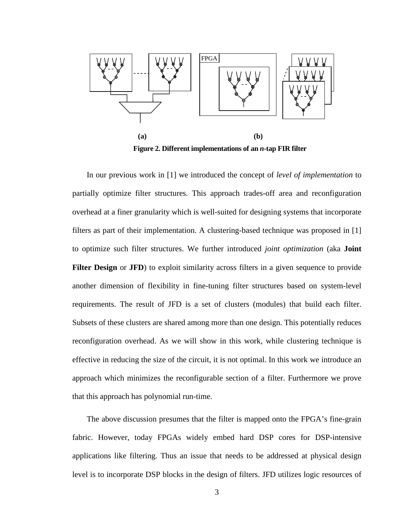

<span id="page-4-0"></span>In our previous work in [\[1\]](#page-49-0) we introduced the concept of *level of implementation* to partially optimize filter structures. This approach trades-off area and reconfiguration overhead at a finer granularity which is well-suited for designing systems that incorporate filters as part of their implementation. A clustering-based technique was proposed in [\[1\]](#page-49-0) to optimize such filter structures. We further introduced *joint optimization* (aka **Joint**  Filter Design or **JFD**) to exploit similarity across filters in a given sequence to provide another dimension of flexibility in fine-tuning filter structures based on system-level requirements. The result of JFD is a set of clusters (modules) that build each filter. Subsets of these clusters are shared among more than one design. This potentially reduces reconfiguration overhead. As we will show in this work, while clustering technique is effective in reducing the size of the circuit, it is not optimal. In this work we introduce an approach which minimizes the reconfigurable section of a filter. Furthermore we prove that this approach has polynomial run-time.

The above discussion presumes that the filter is mapped onto the FPGA's fine-grain fabric. However, today FPGAs widely embed hard DSP cores for DSP-intensive applications like filtering. Thus an issue that needs to be addressed at physical design level is to incorporate DSP blocks in the design of filters. JFD utilizes logic resources of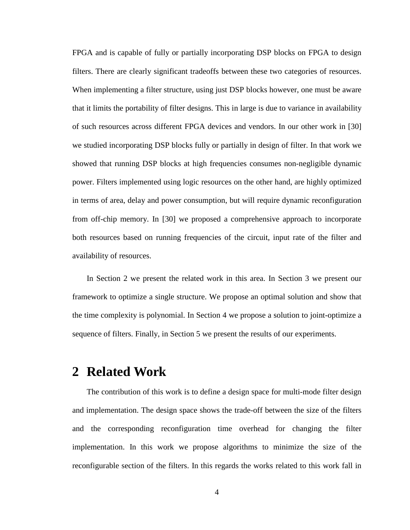FPGA and is capable of fully or partially incorporating DSP blocks on FPGA to design filters. There are clearly significant tradeoffs between these two categories of resources. When implementing a filter structure, using just DSP blocks however, one must be aware that it limits the portability of filter designs. This in large is due to variance in availability of such resources across different FPGA devices and vendors. In our other work in [\[30\]](#page-51-0) we studied incorporating DSP blocks fully or partially in design of filter. In that work we showed that running DSP blocks at high frequencies consumes non-negligible dynamic power. Filters implemented using logic resources on the other hand, are highly optimized in terms of area, delay and power consumption, but will require dynamic reconfiguration from off-chip memory. In [\[30\]](#page-51-0) we proposed a comprehensive approach to incorporate both resources based on running frequencies of the circuit, input rate of the filter and availability of resources.

In Section [2](#page-5-0) we present the related work in this area. In Section [3](#page-9-0) we present our framework to optimize a single structure. We propose an optimal solution and show that the time complexity is polynomial. In Section [4](#page-29-0) we propose a solution to joint-optimize a sequence of filters. Finally, in Section [5](#page-40-0) we present the results of our experiments.

# <span id="page-5-0"></span>**2 Related Work**

The contribution of this work is to define a design space for multi-mode filter design and implementation. The design space shows the trade-off between the size of the filters and the corresponding reconfiguration time overhead for changing the filter implementation. In this work we propose algorithms to minimize the size of the reconfigurable section of the filters. In this regards the works related to this work fall in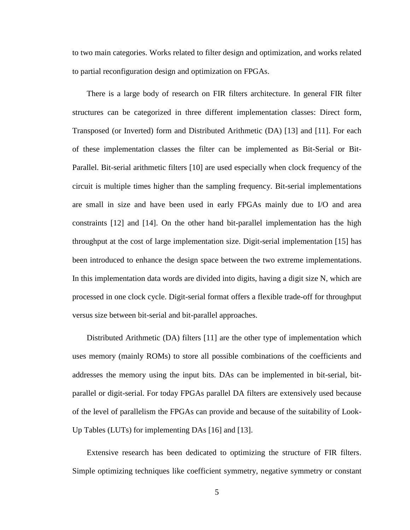to two main categories. Works related to filter design and optimization, and works related to partial reconfiguration design and optimization on FPGAs.

There is a large body of research on FIR filters architecture. In general FIR filter structures can be categorized in three different implementation classes: Direct form, Transposed (or Inverted) form and Distributed Arithmetic (DA) [\[13\]](#page-50-0) and [\[11\].](#page-49-1) For each of these implementation classes the filter can be implemented as Bit-Serial or Bit-Parallel. Bit-serial arithmetic filters [\[10\]](#page-49-2) are used especially when clock frequency of the circuit is multiple times higher than the sampling frequency. Bit-serial implementations are small in size and have been used in early FPGAs mainly due to I/O and area constraints [\[12\]](#page-50-1) and [\[14\].](#page-50-2) On the other hand bit-parallel implementation has the high throughput at the cost of large implementation size. Digit-serial implementation [\[15\]](#page-50-3) has been introduced to enhance the design space between the two extreme implementations. In this implementation data words are divided into digits, having a digit size N, which are processed in one clock cycle. Digit-serial format offers a flexible trade-off for throughput versus size between bit-serial and bit-parallel approaches.

Distributed Arithmetic (DA) filters [\[11\]](#page-49-1) are the other type of implementation which uses memory (mainly ROMs) to store all possible combinations of the coefficients and addresses the memory using the input bits. DAs can be implemented in bit-serial, bitparallel or digit-serial. For today FPGAs parallel DA filters are extensively used because of the level of parallelism the FPGAs can provide and because of the suitability of Look-Up Tables (LUTs) for implementing DAs [\[16\]](#page-50-4) and [\[13\].](#page-50-0)

Extensive research has been dedicated to optimizing the structure of FIR filters. Simple optimizing techniques like coefficient symmetry, negative symmetry or constant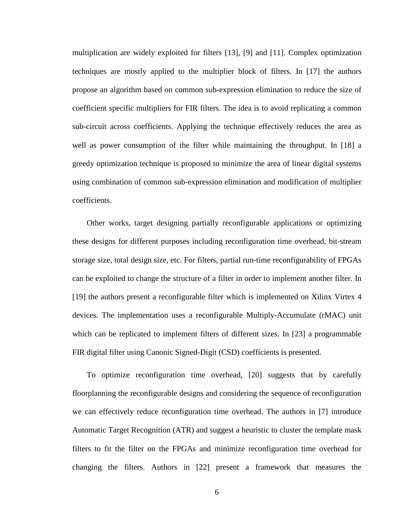multiplication are widely exploited for filters [\[13\],](#page-50-0) [\[9\]](#page-49-3) and [\[11\].](#page-49-1) Complex optimization techniques are mostly applied to the multiplier block of filters. In [\[17\]](#page-50-5) the authors propose an algorithm based on common sub-expression elimination to reduce the size of coefficient specific multipliers for FIR filters. The idea is to avoid replicating a common sub-circuit across coefficients. Applying the technique effectively reduces the area as well as power consumption of the filter while maintaining the throughput. In [\[18\]](#page-50-6) a greedy optimization technique is proposed to minimize the area of linear digital systems using combination of common sub-expression elimination and modification of multiplier coefficients.

Other works, target designing partially reconfigurable applications or optimizing these designs for different purposes including reconfiguration time overhead, bit-stream storage size, total design size, etc. For filters, partial run-time reconfigurability of FPGAs can be exploited to change the structure of a filter in order to implement another filter. In [\[19\]](#page-50-7) the authors present a reconfigurable filter which is implemented on Xilinx Virtex 4 devices. The implementation uses a reconfigurable Multiply-Accumulate (rMAC) unit which can be replicated to implement filters of different sizes. In [\[23\]](#page-50-8) a programmable FIR digital filter using Canonic Signed-Digit (CSD) coefficients is presented.

To optimize reconfiguration time overhead, [\[20\]](#page-50-9) suggests that by carefully floorplanning the reconfigurable designs and considering the sequence of reconfiguration we can effectively reduce reconfiguration time overhead. The authors in [\[7\]](#page-49-4) introduce Automatic Target Recognition (ATR) and suggest a heuristic to cluster the template mask filters to fit the filter on the FPGAs and minimize reconfiguration time overhead for changing the filters. Authors in [\[22\]](#page-50-10) present a framework that measures the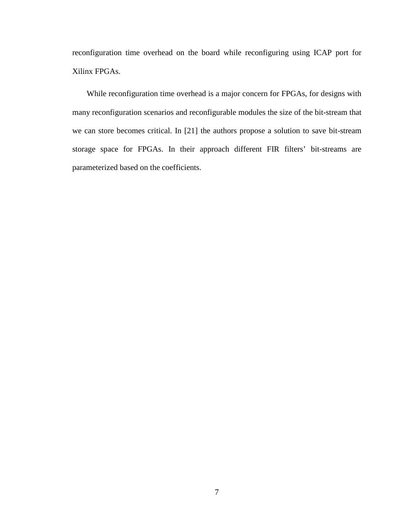reconfiguration time overhead on the board while reconfiguring using ICAP port for Xilinx FPGAs.

While reconfiguration time overhead is a major concern for FPGAs, for designs with many reconfiguration scenarios and reconfigurable modules the size of the bit-stream that we can store becomes critical. In [\[21\]](#page-50-11) the authors propose a solution to save bit-stream storage space for FPGAs. In their approach different FIR filters' bit-streams are parameterized based on the coefficients.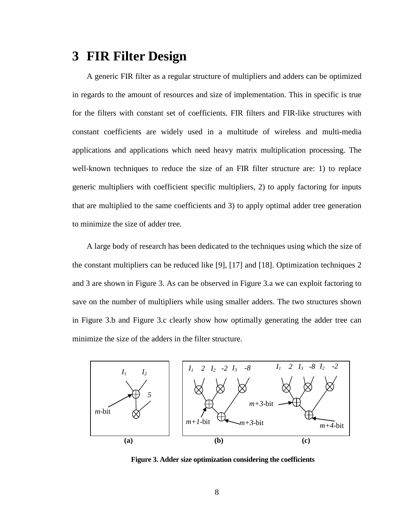# <span id="page-9-0"></span>**3 FIR Filter Design**

A generic FIR filter as a regular structure of multipliers and adders can be optimized in regards to the amount of resources and size of implementation. This in specific is true for the filters with constant set of coefficients. FIR filters and FIR-like structures with constant coefficients are widely used in a multitude of wireless and multi-media applications and applications which need heavy matrix multiplication processing. The well-known techniques to reduce the size of an FIR filter structure are: 1) to replace generic multipliers with coefficient specific multipliers, 2) to apply factoring for inputs that are multiplied to the same coefficients and 3) to apply optimal adder tree generation to minimize the size of adder tree.

A large body of research has been dedicated to the techniques using which the size of the constant multipliers can be reduced like [\[9\],](#page-49-3) [\[17\]](#page-50-5) and [\[18\].](#page-50-6) Optimization techniques 2 and 3 are shown in [Figure 3.](#page-9-1) As can be observed in [Figure 3.](#page-9-1)a we can exploit factoring to save on the number of multipliers while using smaller adders. The two structures shown in [Figure 3.](#page-9-1)b and [Figure 3.](#page-9-1)c clearly show how optimally generating the adder tree can minimize the size of the adders in the filter structure.



<span id="page-9-1"></span>**Figure 3. Adder size optimization considering the coefficients**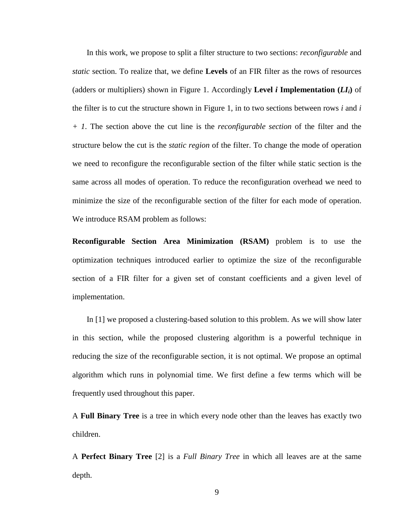In this work, we propose to split a filter structure to two sections: *reconfigurable* and *static* section. To realize that, we define **Levels** of an FIR filter as the rows of resources (adders or multipliers) shown in [Figure 1.](#page-3-0) Accordingly **Level** *i* Implementation  $(LI_i)$  of the filter is to cut the structure shown in [Figure 1,](#page-3-0) in to two sections between rows *i* and *i + 1*. The section above the cut line is the *reconfigurable section* of the filter and the structure below the cut is the *static region* of the filter. To change the mode of operation we need to reconfigure the reconfigurable section of the filter while static section is the same across all modes of operation. To reduce the reconfiguration overhead we need to minimize the size of the reconfigurable section of the filter for each mode of operation. We introduce RSAM problem as follows:

**Reconfigurable Section Area Minimization (RSAM)** problem is to use the optimization techniques introduced earlier to optimize the size of the reconfigurable section of a FIR filter for a given set of constant coefficients and a given level of implementation.

In [\[1\]](#page-49-0) we proposed a clustering-based solution to this problem. As we will show later in this section, while the proposed clustering algorithm is a powerful technique in reducing the size of the reconfigurable section, it is not optimal. We propose an optimal algorithm which runs in polynomial time. We first define a few terms which will be frequently used throughout this paper.

A **Full Binary Tree** is a tree in which every node other than the leaves has exactly two children.

A **Perfect Binary Tree** [\[2\]](#page-49-5) is a *Full Binary Tree* in which all leaves are at the same depth.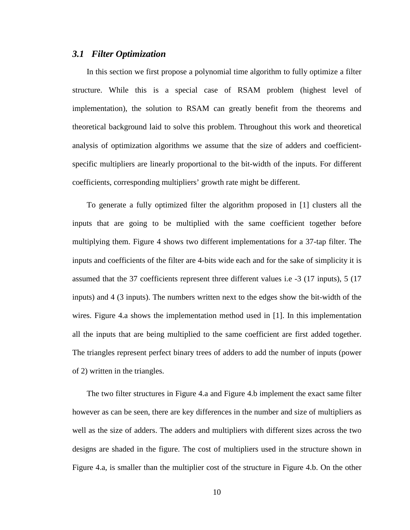#### *3.1 Filter Optimization*

In this section we first propose a polynomial time algorithm to fully optimize a filter structure. While this is a special case of RSAM problem (highest level of implementation), the solution to RSAM can greatly benefit from the theorems and theoretical background laid to solve this problem. Throughout this work and theoretical analysis of optimization algorithms we assume that the size of adders and coefficientspecific multipliers are linearly proportional to the bit-width of the inputs. For different coefficients, corresponding multipliers' growth rate might be different.

To generate a fully optimized filter the algorithm proposed in [\[1\]](#page-49-0) clusters all the inputs that are going to be multiplied with the same coefficient together before multiplying them. [Figure 4](#page-12-0) shows two different implementations for a 37-tap filter. The inputs and coefficients of the filter are 4-bits wide each and for the sake of simplicity it is assumed that the 37 coefficients represent three different values i.e -3 (17 inputs), 5 (17 inputs) and 4 (3 inputs). The numbers written next to the edges show the bit-width of the wires. [Figure 4.](#page-12-0)a shows the implementation method used in [\[1\].](#page-49-0) In this implementation all the inputs that are being multiplied to the same coefficient are first added together. The triangles represent perfect binary trees of adders to add the number of inputs (power of 2) written in the triangles.

The two filter structures in [Figure 4.](#page-12-0)a and [Figure 4.](#page-12-0)b implement the exact same filter however as can be seen, there are key differences in the number and size of multipliers as well as the size of adders. The adders and multipliers with different sizes across the two designs are shaded in the figure. The cost of multipliers used in the structure shown in [Figure 4.](#page-12-0)a, is smaller than the multiplier cost of the structure in [Figure 4.](#page-12-0)b. On the other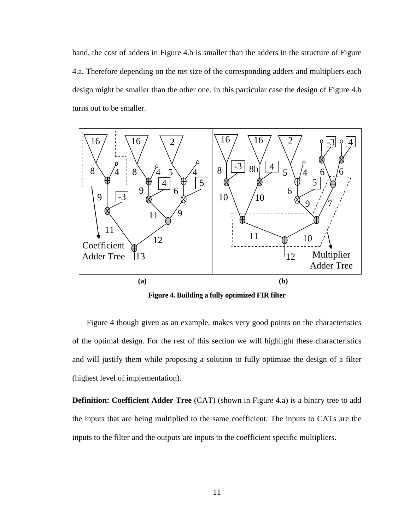hand, the cost of adders in [Figure 4.](#page-12-0)b is smaller than the adders in the structure of [Figure](#page-12-0)  [4.](#page-12-0)a. Therefore depending on the net size of the corresponding adders and multipliers each design might be smaller than the other one. In this particular case the design of [Figure 4.](#page-12-0)b turns out to be smaller.



**Figure 4. Building a fully optimized FIR filter**

<span id="page-12-0"></span>[Figure 4](#page-12-0) though given as an example, makes very good points on the characteristics of the optimal design. For the rest of this section we will highlight these characteristics and will justify them while proposing a solution to fully optimize the design of a filter (highest level of implementation).

**Definition: Coefficient Adder Tree** (CAT) (shown in [Figure 4.](#page-12-0)a) is a binary tree to add the inputs that are being multiplied to the same coefficient. The inputs to CATs are the inputs to the filter and the outputs are inputs to the coefficient specific multipliers.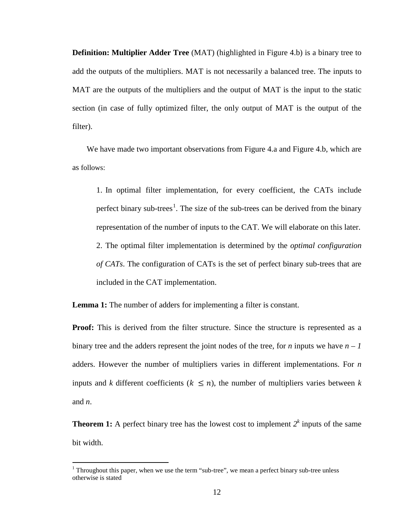**Definition: Multiplier Adder Tree** (MAT) (highlighted in [Figure 4.](#page-12-0)b) is a binary tree to add the outputs of the multipliers. MAT is not necessarily a balanced tree. The inputs to MAT are the outputs of the multipliers and the output of MAT is the input to the static section (in case of fully optimized filter, the only output of MAT is the output of the filter).

We have made two important observations from [Figure 4.](#page-12-0)a and Figure 4.b, which are as follows:

<span id="page-13-2"></span><span id="page-13-1"></span>1. In optimal filter implementation, for every coefficient, the CATs include perfect binary sub-trees<sup>[1](#page-13-0)</sup>. The size of the sub-trees can be derived from the binary representation of the number of inputs to the CAT. We will elaborate on this later. 2. The optimal filter implementation is determined by the *optimal configuration of CATs*. The configuration of CATs is the set of perfect binary sub-trees that are included in the CAT implementation.

**Lemma 1:** The number of adders for implementing a filter is constant.

**Proof:** This is derived from the filter structure. Since the structure is represented as a binary tree and the adders represent the joint nodes of the tree, for *n* inputs we have  $n - 1$ adders. However the number of multipliers varies in different implementations. For *n* inputs and *k* different coefficients ( $k \le n$ ), the number of multipliers varies between *k* and *n*.

**Theorem 1:** A perfect binary tree has the lowest cost to implement  $2^k$  inputs of the same bit width.

<span id="page-13-0"></span><sup>&</sup>lt;sup>1</sup> Throughout this paper, when we use the term "sub-tree", we mean a perfect binary sub-tree unless otherwise is stated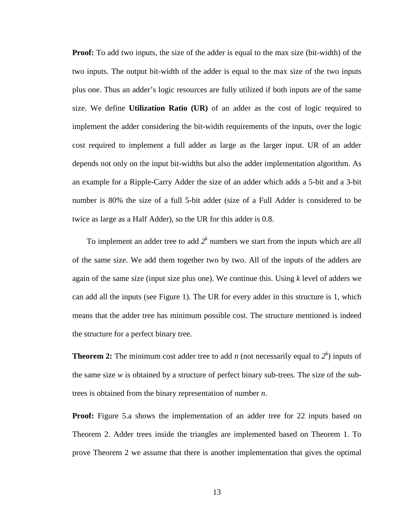**Proof:** To add two inputs, the size of the adder is equal to the max size (bit-width) of the two inputs. The output bit-width of the adder is equal to the max size of the two inputs plus one. Thus an adder's logic resources are fully utilized if both inputs are of the same size. We define **Utilization Ratio (UR)** of an adder as the cost of logic required to implement the adder considering the bit-width requirements of the inputs, over the logic cost required to implement a full adder as large as the larger input. UR of an adder depends not only on the input bit-widths but also the adder implementation algorithm. As an example for a Ripple-Carry Adder the size of an adder which adds a 5-bit and a 3-bit number is 80% the size of a full 5-bit adder (size of a Full Adder is considered to be twice as large as a Half Adder), so the UR for this adder is 0.8.

To implement an adder tree to add  $2<sup>k</sup>$  numbers we start from the inputs which are all of the same size. We add them together two by two. All of the inputs of the adders are again of the same size (input size plus one). We continue this. Using *k* level of adders we can add all the inputs (see [Figure 1\)](#page-3-0). The UR for every adder in this structure is 1, which means that the adder tree has minimum possible cost. The structure mentioned is indeed the structure for a perfect binary tree.

**Theorem 2:** The minimum cost adder tree to add *n* (not necessarily equal to  $2<sup>k</sup>$ ) inputs of the same size *w* is obtained by a structure of perfect binary sub-trees. The size of the subtrees is obtained from the binary representation of number *n*.

**Proof:** [Figure 5.](#page-15-0)a shows the implementation of an adder tree for 22 inputs based on Theorem 2. Adder trees inside the triangles are implemented based on Theorem 1. To prove Theorem 2 we assume that there is another implementation that gives the optimal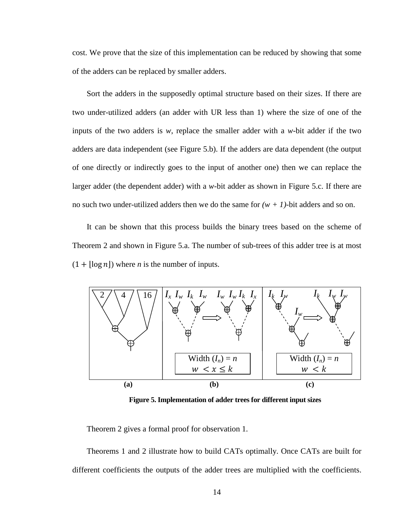cost. We prove that the size of this implementation can be reduced by showing that some of the adders can be replaced by smaller adders.

Sort the adders in the supposedly optimal structure based on their sizes. If there are two under-utilized adders (an adder with UR less than 1) where the size of one of the inputs of the two adders is *w*, replace the smaller adder with a *w*-bit adder if the two adders are data independent (see [Figure 5.](#page-15-0)b). If the adders are data dependent (the output of one directly or indirectly goes to the input of another one) then we can replace the larger adder (the dependent adder) with a *w*-bit adder as shown in [Figure 5.](#page-15-0)c. If there are no such two under-utilized adders then we do the same for  $(w + 1)$ -bit adders and so on.

It can be shown that this process builds the binary trees based on the scheme of Theorem 2 and shown in [Figure 5.](#page-15-0)a. The number of sub-trees of this adder tree is at most  $(1 + \lfloor \log n \rfloor)$  where *n* is the number of inputs.



**Figure 5. Implementation of adder trees for different input sizes**

<span id="page-15-0"></span>Theorem 2 gives a formal proof for observation [1.](#page-13-1)

Theorems 1 and 2 illustrate how to build CATs optimally. Once CATs are built for different coefficients the outputs of the adder trees are multiplied with the coefficients.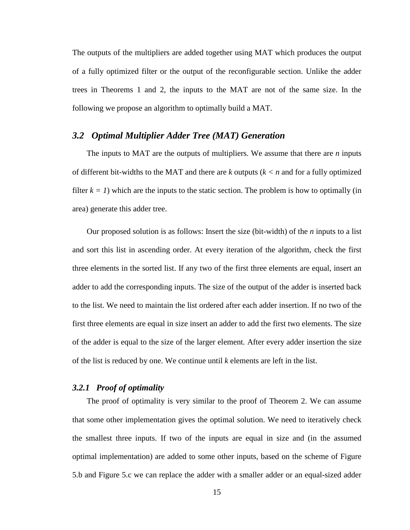The outputs of the multipliers are added together using MAT which produces the output of a fully optimized filter or the output of the reconfigurable section. Unlike the adder trees in Theorems 1 and 2, the inputs to the MAT are not of the same size. In the following we propose an algorithm to optimally build a MAT.

### *3.2 Optimal Multiplier Adder Tree (MAT) Generation*

The inputs to MAT are the outputs of multipliers. We assume that there are *n* inputs of different bit-widths to the MAT and there are *k* outputs (*k < n* and for a fully optimized filter  $k = 1$ ) which are the inputs to the static section. The problem is how to optimally (in area) generate this adder tree.

Our proposed solution is as follows: Insert the size (bit-width) of the *n* inputs to a list and sort this list in ascending order. At every iteration of the algorithm, check the first three elements in the sorted list. If any two of the first three elements are equal, insert an adder to add the corresponding inputs. The size of the output of the adder is inserted back to the list. We need to maintain the list ordered after each adder insertion. If no two of the first three elements are equal in size insert an adder to add the first two elements. The size of the adder is equal to the size of the larger element. After every adder insertion the size of the list is reduced by one. We continue until *k* elements are left in the list.

### *3.2.1 Proof of optimality*

The proof of optimality is very similar to the proof of Theorem 2. We can assume that some other implementation gives the optimal solution. We need to iteratively check the smallest three inputs. If two of the inputs are equal in size and (in the assumed optimal implementation) are added to some other inputs, based on the scheme of [Figure](#page-15-0)  [5.](#page-15-0)b and [Figure 5.](#page-15-0)c we can replace the adder with a smaller adder or an equal-sized adder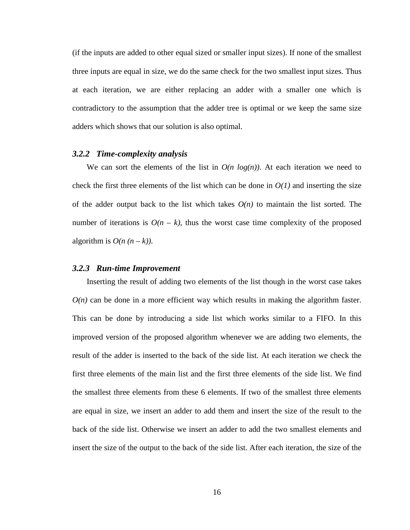(if the inputs are added to other equal sized or smaller input sizes). If none of the smallest three inputs are equal in size, we do the same check for the two smallest input sizes. Thus at each iteration, we are either replacing an adder with a smaller one which is contradictory to the assumption that the adder tree is optimal or we keep the same size adders which shows that our solution is also optimal.

#### *3.2.2 Time-complexity analysis*

We can sort the elements of the list in  $O(n \log(n))$ . At each iteration we need to check the first three elements of the list which can be done in  $O(1)$  and inserting the size of the adder output back to the list which takes  $O(n)$  to maintain the list sorted. The number of iterations is  $O(n - k)$ , thus the worst case time complexity of the proposed algorithm is  $O(n (n - k))$ .

#### *3.2.3 Run-time Improvement*

Inserting the result of adding two elements of the list though in the worst case takes  $O(n)$  can be done in a more efficient way which results in making the algorithm faster. This can be done by introducing a side list which works similar to a FIFO. In this improved version of the proposed algorithm whenever we are adding two elements, the result of the adder is inserted to the back of the side list. At each iteration we check the first three elements of the main list and the first three elements of the side list. We find the smallest three elements from these 6 elements. If two of the smallest three elements are equal in size, we insert an adder to add them and insert the size of the result to the back of the side list. Otherwise we insert an adder to add the two smallest elements and insert the size of the output to the back of the side list. After each iteration, the size of the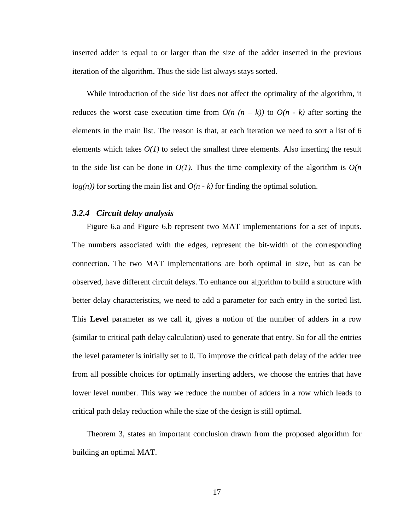inserted adder is equal to or larger than the size of the adder inserted in the previous iteration of the algorithm. Thus the side list always stays sorted.

While introduction of the side list does not affect the optimality of the algorithm, it reduces the worst case execution time from  $O(n (n - k))$  to  $O(n - k)$  after sorting the elements in the main list. The reason is that, at each iteration we need to sort a list of 6 elements which takes  $O(1)$  to select the smallest three elements. Also inserting the result to the side list can be done in  $O(1)$ . Thus the time complexity of the algorithm is  $O(n)$  $log(n)$  for sorting the main list and  $O(n - k)$  for finding the optimal solution.

#### *3.2.4 Circuit delay analysis*

[Figure 6.](#page-19-0)a and [Figure 6.](#page-19-0)b represent two MAT implementations for a set of inputs. The numbers associated with the edges, represent the bit-width of the corresponding connection. The two MAT implementations are both optimal in size, but as can be observed, have different circuit delays. To enhance our algorithm to build a structure with better delay characteristics, we need to add a parameter for each entry in the sorted list. This **Level** parameter as we call it, gives a notion of the number of adders in a row (similar to critical path delay calculation) used to generate that entry. So for all the entries the level parameter is initially set to 0. To improve the critical path delay of the adder tree from all possible choices for optimally inserting adders, we choose the entries that have lower level number. This way we reduce the number of adders in a row which leads to critical path delay reduction while the size of the design is still optimal.

Theorem 3, states an important conclusion drawn from the proposed algorithm for building an optimal MAT.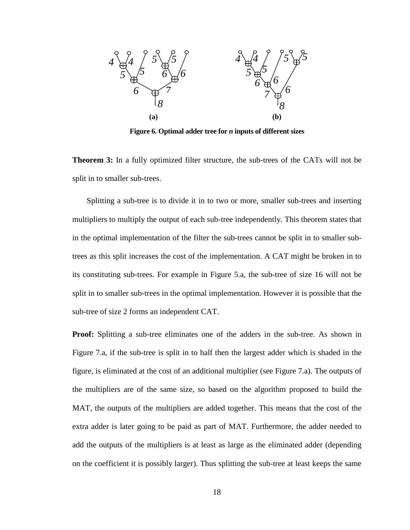

**Figure 6. Optimal adder tree for** *n* **inputs of different sizes**

<span id="page-19-0"></span>**Theorem 3:** In a fully optimized filter structure, the sub-trees of the CATs will not be split in to smaller sub-trees.

Splitting a sub-tree is to divide it in to two or more, smaller sub-trees and inserting multipliers to multiply the output of each sub-tree independently. This theorem states that in the optimal implementation of the filter the sub-trees cannot be split in to smaller subtrees as this split increases the cost of the implementation. A CAT might be broken in to its constituting sub-trees. For example in [Figure 5.](#page-15-0)a, the sub-tree of size 16 will not be split in to smaller sub-trees in the optimal implementation. However it is possible that the sub-tree of size 2 forms an independent CAT.

**Proof:** Splitting a sub-tree eliminates one of the adders in the sub-tree. As shown in [Figure 7.](#page-20-0)a, if the sub-tree is split in to half then the largest adder which is shaded in the figure, is eliminated at the cost of an additional multiplier (see [Figure 7.](#page-20-0)a). The outputs of the multipliers are of the same size, so based on the algorithm proposed to build the MAT, the outputs of the multipliers are added together. This means that the cost of the extra adder is later going to be paid as part of MAT. Furthermore, the adder needed to add the outputs of the multipliers is at least as large as the eliminated adder (depending on the coefficient it is possibly larger). Thus splitting the sub-tree at least keeps the same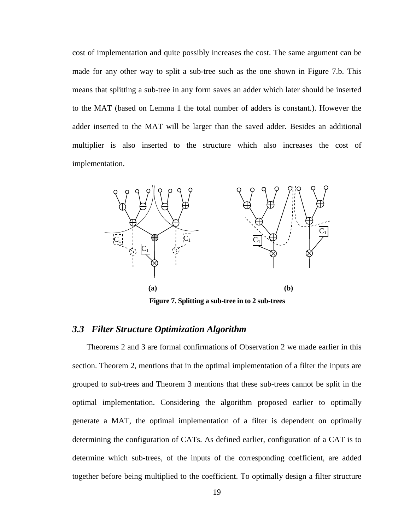cost of implementation and quite possibly increases the cost. The same argument can be made for any other way to split a sub-tree such as the one shown in [Figure 7.](#page-20-0)b. This means that splitting a sub-tree in any form saves an adder which later should be inserted to the MAT (based on Lemma 1 the total number of adders is constant.). However the adder inserted to the MAT will be larger than the saved adder. Besides an additional multiplier is also inserted to the structure which also increases the cost of implementation.



**Figure 7. Splitting a sub-tree in to 2 sub-trees**

### <span id="page-20-0"></span>*3.3 Filter Structure Optimization Algorithm*

Theorems 2 and 3 are formal confirmations of Observation [2](#page-13-2) we made earlier in this section. Theorem 2, mentions that in the optimal implementation of a filter the inputs are grouped to sub-trees and Theorem 3 mentions that these sub-trees cannot be split in the optimal implementation. Considering the algorithm proposed earlier to optimally generate a MAT, the optimal implementation of a filter is dependent on optimally determining the configuration of CATs. As defined earlier, configuration of a CAT is to determine which sub-trees, of the inputs of the corresponding coefficient, are added together before being multiplied to the coefficient. To optimally design a filter structure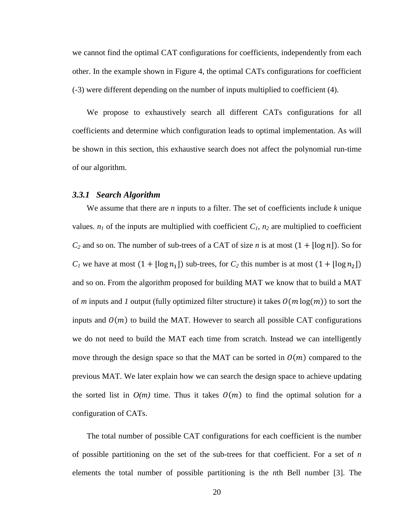we cannot find the optimal CAT configurations for coefficients, independently from each other. In the example shown in [Figure 4,](#page-12-0) the optimal CATs configurations for coefficient (-3) were different depending on the number of inputs multiplied to coefficient (4).

We propose to exhaustively search all different CATs configurations for all coefficients and determine which configuration leads to optimal implementation. As will be shown in this section, this exhaustive search does not affect the polynomial run-time of our algorithm.

#### *3.3.1 Search Algorithm*

We assume that there are *n* inputs to a filter. The set of coefficients include *k* unique values.  $n_1$  of the inputs are multiplied with coefficient  $C_1$ ,  $n_2$  are multiplied to coefficient  $C_2$  and so on. The number of sub-trees of a CAT of size *n* is at most  $(1 + \lfloor \log n \rfloor)$ . So for  $C_1$  we have at most  $(1 + \lfloor \log n_1 \rfloor)$  sub-trees, for  $C_2$  this number is at most  $(1 + \lfloor \log n_2 \rfloor)$ and so on. From the algorithm proposed for building MAT we know that to build a MAT of *m* inputs and *I* output (fully optimized filter structure) it takes  $O(m \log(m))$  to sort the inputs and  $O(m)$  to build the MAT. However to search all possible CAT configurations we do not need to build the MAT each time from scratch. Instead we can intelligently move through the design space so that the MAT can be sorted in  $O(m)$  compared to the previous MAT. We later explain how we can search the design space to achieve updating the sorted list in  $O(m)$  time. Thus it takes  $O(m)$  to find the optimal solution for a configuration of CATs.

The total number of possible CAT configurations for each coefficient is the number of possible partitioning on the set of the sub-trees for that coefficient. For a set of *n* elements the total number of possible partitioning is the *n*th Bell number [\[3\].](#page-49-6) The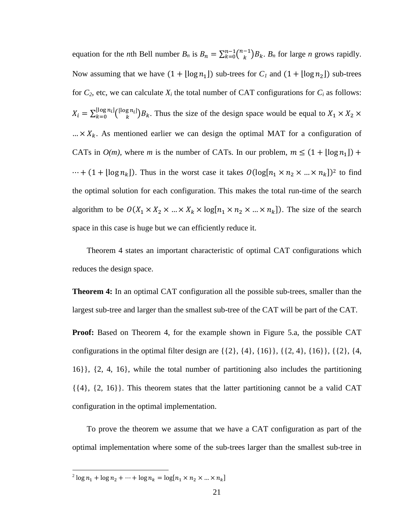equation for the *n*th Bell number  $B_n$  is  $B_n = \sum_{k=0}^{n-1} {n-1 \choose k} B_k$ .  $B_n$  for large *n* grows rapidly. Now assuming that we have  $(1 + \lfloor \log n_1 \rfloor)$  sub-trees for  $C_l$  and  $(1 + \lfloor \log n_2 \rfloor)$  sub-trees for  $C_2$ , etc, we can calculate  $X_i$  the total number of CAT configurations for  $C_i$  as follows:  $X_i = \sum_{k=0}^{\lfloor \log n_i \rfloor} {\lfloor \log n_i \rfloor} B_k$ . Thus the size of the design space would be equal to  $X_1 \times X_2 \times$  $... \times X_k$ . As mentioned earlier we can design the optimal MAT for a configuration of CATs in  $O(m)$ , where *m* is the number of CATs. In our problem,  $m \leq (1 + \lfloor \log n_1 \rfloor) +$  $\cdots$  + (1 + [log  $n_k$ ]). Thus in the worst case it takes  $O(\log[n_1 \times n_2 \times ... \times n_k])^2$  to find the optimal solution for each configuration. This makes the total run-time of the search algorithm to be  $O(X_1 \times X_2 \times ... \times X_k \times \log[n_1 \times n_2 \times ... \times n_k])$ . The size of the search space in this case is huge but we can efficiently reduce it.

Theorem 4 states an important characteristic of optimal CAT configurations which reduces the design space.

**Theorem 4:** In an optimal CAT configuration all the possible sub-trees, smaller than the largest sub-tree and larger than the smallest sub-tree of the CAT will be part of the CAT.

**Proof:** Based on Theorem 4, for the example shown in [Figure 5.](#page-15-0)a, the possible CAT configurations in the optimal filter design are  $\{\{2\}, \{4\}, \{16\}\}, \{\{2, 4\}, \{16\}\}, \{\{2\}, \{4,$ 16}}, {2, 4, 16}, while the total number of partitioning also includes the partitioning  $\{\{4\}, \{2, 16\}\}\$ . This theorem states that the latter partitioning cannot be a valid CAT configuration in the optimal implementation.

To prove the theorem we assume that we have a CAT configuration as part of the optimal implementation where some of the sub-trees larger than the smallest sub-tree in

 $\frac{1}{2} \log n_1 + \log n_2 + \dots + \log n_k = \log[n_1 \times n_2 \times \dots \times n_k]$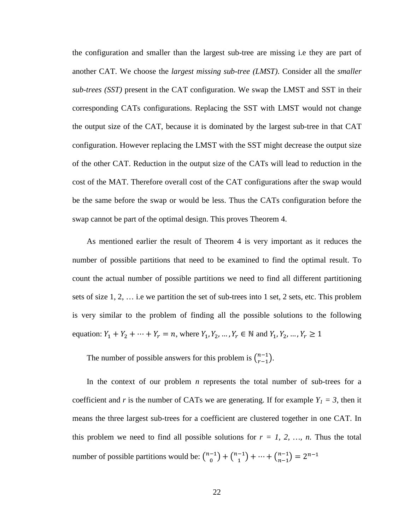the configuration and smaller than the largest sub-tree are missing i.e they are part of another CAT. We choose the *largest missing sub-tree (LMST)*. Consider all the *smaller sub-trees (SST)* present in the CAT configuration. We swap the LMST and SST in their corresponding CATs configurations. Replacing the SST with LMST would not change the output size of the CAT, because it is dominated by the largest sub-tree in that CAT configuration. However replacing the LMST with the SST might decrease the output size of the other CAT. Reduction in the output size of the CATs will lead to reduction in the cost of the MAT. Therefore overall cost of the CAT configurations after the swap would be the same before the swap or would be less. Thus the CATs configuration before the swap cannot be part of the optimal design. This proves Theorem 4.

As mentioned earlier the result of Theorem 4 is very important as it reduces the number of possible partitions that need to be examined to find the optimal result. To count the actual number of possible partitions we need to find all different partitioning sets of size 1, 2, … i.e we partition the set of sub-trees into 1 set, 2 sets, etc. This problem is very similar to the problem of finding all the possible solutions to the following equation:  $Y_1 + Y_2 + \cdots + Y_r = n$ , where  $Y_1, Y_2, \dots, Y_r \in \mathbb{N}$  and  $Y_1, Y_2, \dots, Y_r \ge 1$ 

The number of possible answers for this problem is  $\binom{n-1}{r-1}$ .

In the context of our problem *n* represents the total number of sub-trees for a coefficient and *r* is the number of CATs we are generating. If for example  $Y_1 = 3$ , then it means the three largest sub-trees for a coefficient are clustered together in one CAT. In this problem we need to find all possible solutions for  $r = 1, 2, ..., n$ . Thus the total number of possible partitions would be:  $\binom{n-1}{0} + \binom{n-1}{1} + \cdots + \binom{n-1}{n-1} = 2^{n-1}$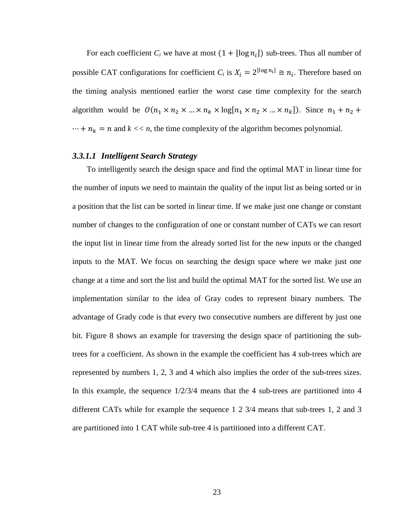For each coefficient  $C_i$  we have at most  $(1 + \lfloor \log n_i \rfloor)$  sub-trees. Thus all number of possible CAT configurations for coefficient  $C_i$  is  $X_i = 2^{\lfloor \log n_i \rfloor} \cong n_i$ . Therefore based on the timing analysis mentioned earlier the worst case time complexity for the search algorithm would be  $O(n_1 \times n_2 \times ... \times n_k \times \log[n_1 \times n_2 \times ... \times n_k])$ . Since  $n_1 + n_2 + ... \times n_k$  $\cdots + n_k = n$  and  $k \ll n$ , the time complexity of the algorithm becomes polynomial.

### *3.3.1.1 Intelligent Search Strategy*

To intelligently search the design space and find the optimal MAT in linear time for the number of inputs we need to maintain the quality of the input list as being sorted or in a position that the list can be sorted in linear time. If we make just one change or constant number of changes to the configuration of one or constant number of CATs we can resort the input list in linear time from the already sorted list for the new inputs or the changed inputs to the MAT. We focus on searching the design space where we make just one change at a time and sort the list and build the optimal MAT for the sorted list. We use an implementation similar to the idea of Gray codes to represent binary numbers. The advantage of Grady code is that every two consecutive numbers are different by just one bit. [Figure 8](#page-25-0) shows an example for traversing the design space of partitioning the subtrees for a coefficient. As shown in the example the coefficient has 4 sub-trees which are represented by numbers 1, 2, 3 and 4 which also implies the order of the sub-trees sizes. In this example, the sequence 1/2/3/4 means that the 4 sub-trees are partitioned into 4 different CATs while for example the sequence 1 2 3/4 means that sub-trees 1, 2 and 3 are partitioned into 1 CAT while sub-tree 4 is partitioned into a different CAT.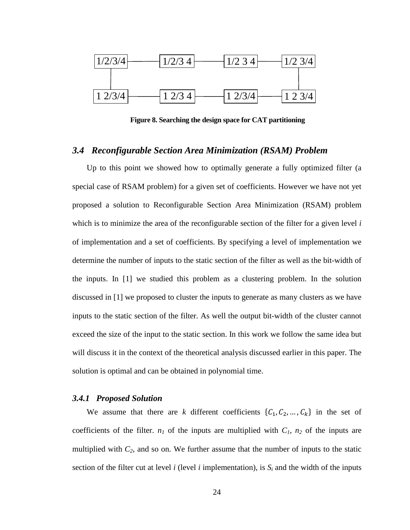

**Figure 8. Searching the design space for CAT partitioning**

#### <span id="page-25-0"></span>*3.4 Reconfigurable Section Area Minimization (RSAM) Problem*

Up to this point we showed how to optimally generate a fully optimized filter (a special case of RSAM problem) for a given set of coefficients. However we have not yet proposed a solution to Reconfigurable Section Area Minimization (RSAM) problem which is to minimize the area of the reconfigurable section of the filter for a given level *i* of implementation and a set of coefficients. By specifying a level of implementation we determine the number of inputs to the static section of the filter as well as the bit-width of the inputs. In [\[1\]](#page-49-0) we studied this problem as a clustering problem. In the solution discussed in [\[1\]](#page-49-0) we proposed to cluster the inputs to generate as many clusters as we have inputs to the static section of the filter. As well the output bit-width of the cluster cannot exceed the size of the input to the static section. In this work we follow the same idea but will discuss it in the context of the theoretical analysis discussed earlier in this paper. The solution is optimal and can be obtained in polynomial time.

#### *3.4.1 Proposed Solution*

We assume that there are *k* different coefficients  $\{C_1, C_2, ..., C_k\}$  in the set of coefficients of the filter.  $n_1$  of the inputs are multiplied with  $C_1$ ,  $n_2$  of the inputs are multiplied with  $C_2$ , and so on. We further assume that the number of inputs to the static section of the filter cut at level *i* (level *i* implementation), is  $S_i$  and the width of the inputs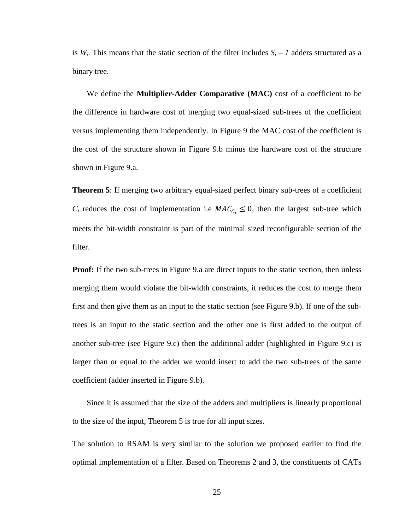is  $W_i$ . This means that the static section of the filter includes  $S_i - I$  adders structured as a binary tree.

We define the **Multiplier-Adder Comparative (MAC)** cost of a coefficient to be the difference in hardware cost of merging two equal-sized sub-trees of the coefficient versus implementing them independently. In [Figure 9](#page-27-0) the MAC cost of the coefficient is the cost of the structure shown in [Figure 9.](#page-27-0)b minus the hardware cost of the structure shown in [Figure 9.](#page-27-0)a.

**Theorem 5**: If merging two arbitrary equal-sized perfect binary sub-trees of a coefficient  $C_i$  reduces the cost of implementation i.e  $MAC_{C_i} \leq 0$ , then the largest sub-tree which meets the bit-width constraint is part of the minimal sized reconfigurable section of the filter.

**Proof:** If the two sub-trees in [Figure 9.](#page-27-0)a are direct inputs to the static section, then unless merging them would violate the bit-width constraints, it reduces the cost to merge them first and then give them as an input to the static section (see [Figure 9.](#page-27-0)b). If one of the subtrees is an input to the static section and the other one is first added to the output of another sub-tree (see [Figure 9.](#page-27-0)c) then the additional adder (highlighted in [Figure 9.](#page-27-0)c) is larger than or equal to the adder we would insert to add the two sub-trees of the same coefficient (adder inserted in [Figure 9.](#page-27-0)b).

Since it is assumed that the size of the adders and multipliers is linearly proportional to the size of the input, Theorem 5 is true for all input sizes.

The solution to RSAM is very similar to the solution we proposed earlier to find the optimal implementation of a filter. Based on Theorems 2 and 3, the constituents of CATs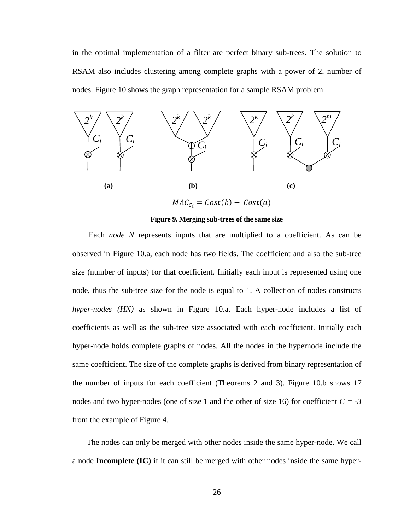in the optimal implementation of a filter are perfect binary sub-trees. The solution to RSAM also includes clustering among complete graphs with a power of 2, number of nodes. [Figure 10](#page-28-0) shows the graph representation for a sample RSAM problem.



**Figure 9. Merging sub-trees of the same size**

<span id="page-27-0"></span>Each *node N* represents inputs that are multiplied to a coefficient. As can be observed in [Figure 10.](#page-28-0)a, each node has two fields. The coefficient and also the sub-tree size (number of inputs) for that coefficient. Initially each input is represented using one node, thus the sub-tree size for the node is equal to 1. A collection of nodes constructs *hyper-nodes (HN)* as shown in [Figure 10.](#page-28-0)a. Each hyper-node includes a list of coefficients as well as the sub-tree size associated with each coefficient. Initially each hyper-node holds complete graphs of nodes. All the nodes in the hypernode include the same coefficient. The size of the complete graphs is derived from binary representation of the number of inputs for each coefficient (Theorems 2 and 3). [Figure 10.](#page-28-0)b shows 17 nodes and two hyper-nodes (one of size 1 and the other of size 16) for coefficient  $C = -3$ from the example of [Figure 4.](#page-12-0)

The nodes can only be merged with other nodes inside the same hyper-node. We call a node **Incomplete (IC)** if it can still be merged with other nodes inside the same hyper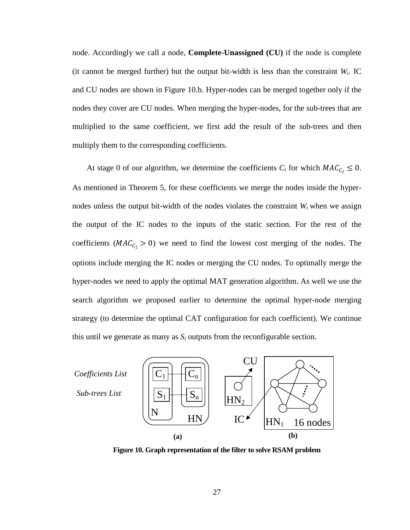node. Accordingly we call a node, **Complete-Unassigned (CU)** if the node is complete (it cannot be merged further) but the output bit-width is less than the constraint  $W_i$ . IC and CU nodes are shown in [Figure 10.](#page-28-0)b. Hyper-nodes can be merged together only if the nodes they cover are CU nodes. When merging the hyper-nodes, for the sub-trees that are multiplied to the same coefficient, we first add the result of the sub-trees and then multiply them to the corresponding coefficients.

At stage 0 of our algorithm, we determine the coefficients  $C_i$  for which  $MAC_{C_i} \leq 0$ . As mentioned in Theorem 5, for these coefficients we merge the nodes inside the hypernodes unless the output bit-width of the nodes violates the constraint  $W_i$  when we assign the output of the IC nodes to the inputs of the static section. For the rest of the coefficients ( $MAC_{C_i} > 0$ ) we need to find the lowest cost merging of the nodes. The options include merging the IC nodes or merging the CU nodes. To optimally merge the hyper-nodes we need to apply the optimal MAT generation algorithm. As well we use the search algorithm we proposed earlier to determine the optimal hyper-node merging strategy (to determine the optimal CAT configuration for each coefficient). We continue this until we generate as many as  $S_i$  outputs from the reconfigurable section.



<span id="page-28-0"></span>**Figure 10. Graph representation of the filter to solve RSAM problem**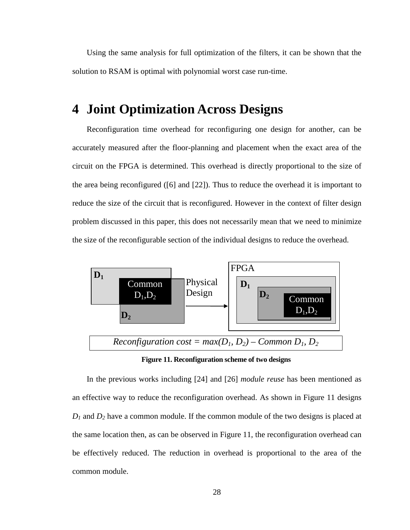Using the same analysis for full optimization of the filters, it can be shown that the solution to RSAM is optimal with polynomial worst case run-time.

# <span id="page-29-0"></span>**4 Joint Optimization Across Designs**

Reconfiguration time overhead for reconfiguring one design for another, can be accurately measured after the floor-planning and placement when the exact area of the circuit on the FPGA is determined. This overhead is directly proportional to the size of the area being reconfigured [\(\[6\]](#page-49-7) and [\[22\]\)](#page-50-10). Thus to reduce the overhead it is important to reduce the size of the circuit that is reconfigured. However in the context of filter design problem discussed in this paper, this does not necessarily mean that we need to minimize the size of the reconfigurable section of the individual designs to reduce the overhead.



**Figure 11. Reconfiguration scheme of two designs**

<span id="page-29-1"></span>In the previous works including [\[24\]](#page-50-12) and [\[26\]](#page-51-1) *module reuse* has been mentioned as an effective way to reduce the reconfiguration overhead. As shown in [Figure 11](#page-29-1) designs *D1* and *D2* have a common module. If the common module of the two designs is placed at the same location then, as can be observed in [Figure 11,](#page-29-1) the reconfiguration overhead can be effectively reduced. The reduction in overhead is proportional to the area of the common module.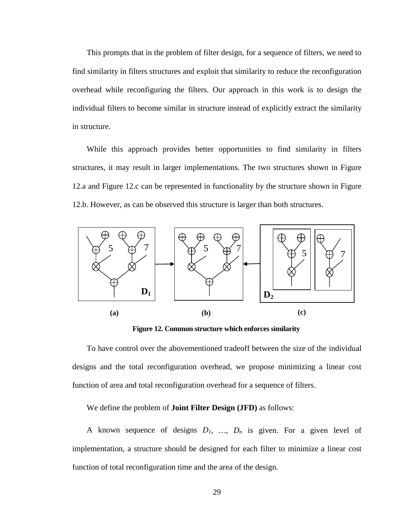This prompts that in the problem of filter design, for a sequence of filters, we need to find similarity in filters structures and exploit that similarity to reduce the reconfiguration overhead while reconfiguring the filters. Our approach in this work is to design the individual filters to become similar in structure instead of explicitly extract the similarity in structure.

While this approach provides better opportunities to find similarity in filters structures, it may result in larger implementations. The two structures shown in [Figure](#page-30-0)  [12.](#page-30-0)a and [Figure 12.](#page-30-0)c can be represented in functionality by the structure shown in [Figure](#page-30-0)  [12.](#page-30-0)b. However, as can be observed this structure is larger than both structures.



**Figure 12. Common structure which enforces similarity**

<span id="page-30-0"></span>To have control over the abovementioned tradeoff between the size of the individual designs and the total reconfiguration overhead, we propose minimizing a linear cost function of area and total reconfiguration overhead for a sequence of filters.

We define the problem of **Joint Filter Design (JFD)** as follows:

A known sequence of designs  $D_1$ , ...,  $D_n$  is given. For a given level of implementation, a structure should be designed for each filter to minimize a linear cost function of total reconfiguration time and the area of the design.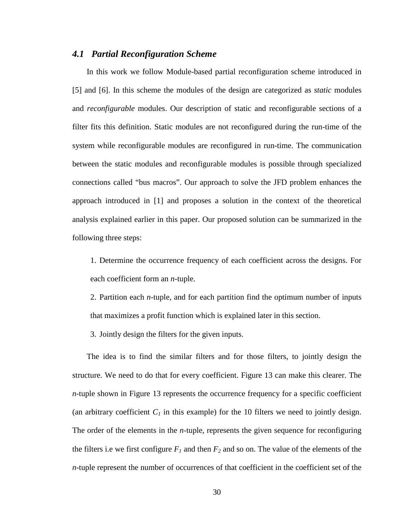#### *4.1 Partial Reconfiguration Scheme*

In this work we follow Module-based partial reconfiguration scheme introduced in [\[5\]](#page-49-8) and [\[6\].](#page-49-7) In this scheme the modules of the design are categorized as *static* modules and *reconfigurable* modules. Our description of static and reconfigurable sections of a filter fits this definition. Static modules are not reconfigured during the run-time of the system while reconfigurable modules are reconfigured in run-time. The communication between the static modules and reconfigurable modules is possible through specialized connections called "bus macros". Our approach to solve the JFD problem enhances the approach introduced in [\[1\]](#page-49-0) and proposes a solution in the context of the theoretical analysis explained earlier in this paper. Our proposed solution can be summarized in the following three steps:

1. Determine the occurrence frequency of each coefficient across the designs. For each coefficient form an *n*-tuple.

2. Partition each *n*-tuple, and for each partition find the optimum number of inputs that maximizes a profit function which is explained later in this section.

3. Jointly design the filters for the given inputs.

The idea is to find the similar filters and for those filters, to jointly design the structure. We need to do that for every coefficient. [Figure 13](#page-32-0) can make this clearer. The *n*-tuple shown in [Figure 13](#page-32-0) represents the occurrence frequency for a specific coefficient (an arbitrary coefficient  $C_1$  in this example) for the 10 filters we need to jointly design. The order of the elements in the *n*-tuple, represents the given sequence for reconfiguring the filters i.e we first configure  $F_1$  and then  $F_2$  and so on. The value of the elements of the *n*-tuple represent the number of occurrences of that coefficient in the coefficient set of the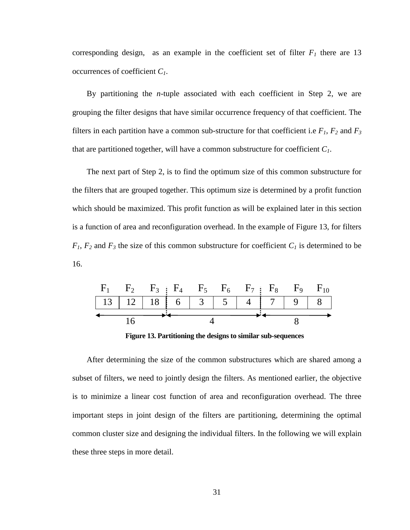corresponding design, as an example in the coefficient set of filter  $F_I$  there are 13 occurrences of coefficient *C1*.

By partitioning the *n*-tuple associated with each coefficient in Step 2, we are grouping the filter designs that have similar occurrence frequency of that coefficient. The filters in each partition have a common sub-structure for that coefficient i.e  $F_1$ ,  $F_2$  and  $F_3$ that are partitioned together, will have a common substructure for coefficient *C1*.

The next part of Step 2, is to find the optimum size of this common substructure for the filters that are grouped together. This optimum size is determined by a profit function which should be maximized. This profit function as will be explained later in this section is a function of area and reconfiguration overhead. In the example of [Figure 13,](#page-32-0) for filters  $F_1$ ,  $F_2$  and  $F_3$  the size of this common substructure for coefficient  $C_1$  is determined to be 16.



**Figure 13. Partitioning the designs to similar sub-sequences**

<span id="page-32-0"></span>After determining the size of the common substructures which are shared among a subset of filters, we need to jointly design the filters. As mentioned earlier, the objective is to minimize a linear cost function of area and reconfiguration overhead. The three important steps in joint design of the filters are partitioning, determining the optimal common cluster size and designing the individual filters. In the following we will explain these three steps in more detail.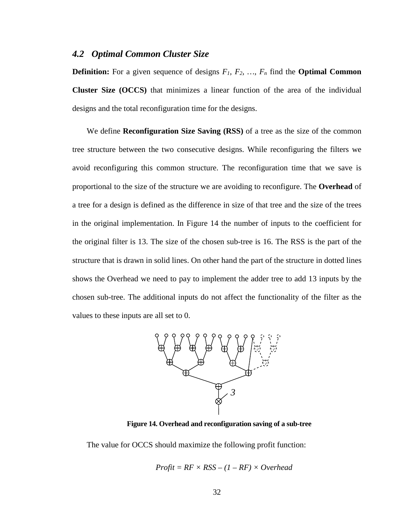#### <span id="page-33-1"></span>*4.2 Optimal Common Cluster Size*

**Definition:** For a given sequence of designs  $F_1$ ,  $F_2$ , ...,  $F_n$  find the **Optimal Common Cluster Size (OCCS)** that minimizes a linear function of the area of the individual designs and the total reconfiguration time for the designs.

We define **Reconfiguration Size Saving (RSS)** of a tree as the size of the common tree structure between the two consecutive designs. While reconfiguring the filters we avoid reconfiguring this common structure. The reconfiguration time that we save is proportional to the size of the structure we are avoiding to reconfigure. The **Overhead** of a tree for a design is defined as the difference in size of that tree and the size of the trees in the original implementation. In [Figure 14](#page-33-0) the number of inputs to the coefficient for the original filter is 13. The size of the chosen sub-tree is 16. The RSS is the part of the structure that is drawn in solid lines. On other hand the part of the structure in dotted lines shows the Overhead we need to pay to implement the adder tree to add 13 inputs by the chosen sub-tree. The additional inputs do not affect the functionality of the filter as the values to these inputs are all set to 0.



**Figure 14. Overhead and reconfiguration saving of a sub-tree**

<span id="page-33-0"></span>The value for OCCS should maximize the following profit function:

$$
Profit = RF \times RSS - (1 - RF) \times Overhead
$$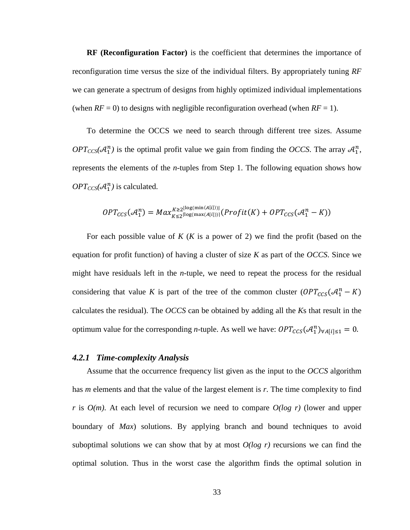**RF (Reconfiguration Factor)** is the coefficient that determines the importance of reconfiguration time versus the size of the individual filters. By appropriately tuning *RF* we can generate a spectrum of designs from highly optimized individual implementations (when  $RF = 0$ ) to designs with negligible reconfiguration overhead (when  $RF = 1$ ).

To determine the OCCS we need to search through different tree sizes. Assume  $OPT_{CCS}(\mathcal{A}_1^n)$  is the optimal profit value we gain from finding the *OCCS*. The array  $\mathcal{A}_1^n$ , represents the elements of the *n*-tuples from Step 1. The following equation shows how  $OPT_{CCS}(\mathcal{A}_1^n)$  is calculated.

$$
OPT_{CCS}(\mathcal{A}_1^n) = Max_{K \leq 2^{\lfloor \log(\max(A[i])) \rfloor}}^{K \geq 2^{\lfloor \log(\min(A[i])) \rfloor}}(Profit(K) + OPT_{CCS}(\mathcal{A}_1^n - K))
$$

For each possible value of *K* (*K* is a power of 2) we find the profit (based on the equation for profit function) of having a cluster of size *K* as part of the *OCCS*. Since we might have residuals left in the *n*-tuple, we need to repeat the process for the residual considering that value *K* is part of the tree of the common cluster  $(OPT_{CCS}(A_1^n - K))$ calculates the residual). The *OCCS* can be obtained by adding all the *K*s that result in the optimum value for the corresponding *n*-tuple. As well we have:  $OPT_{CCS}(\mathcal{A}_1^n)_{\forall A[i]\leq 1} = 0$ .

#### *4.2.1 Time-complexity Analysis*

Assume that the occurrence frequency list given as the input to the *OCCS* algorithm has *m* elements and that the value of the largest element is *r*. The time complexity to find *r* is *O(m)*. At each level of recursion we need to compare *O(log r)* (lower and upper boundary of *Max*) solutions. By applying branch and bound techniques to avoid suboptimal solutions we can show that by at most  $O(log r)$  recursions we can find the optimal solution. Thus in the worst case the algorithm finds the optimal solution in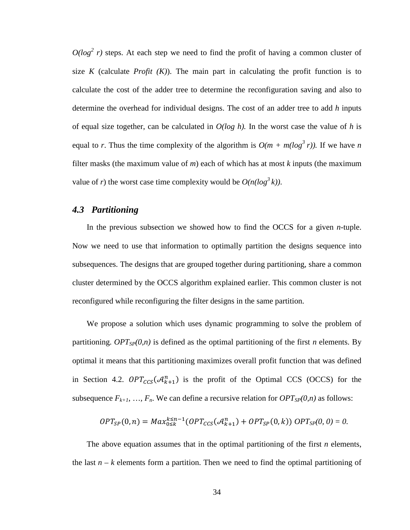$O(log<sup>2</sup> r)$  steps. At each step we need to find the profit of having a common cluster of size  $K$  (calculate *Profit*  $(K)$ ). The main part in calculating the profit function is to calculate the cost of the adder tree to determine the reconfiguration saving and also to determine the overhead for individual designs. The cost of an adder tree to add *h* inputs of equal size together, can be calculated in  $O(log h)$ . In the worst case the value of h is equal to *r*. Thus the time complexity of the algorithm is  $O(m + m(\log^3 r))$ . If we have *n* filter masks (the maximum value of *m*) each of which has at most *k* inputs (the maximum value of *r*) the worst case time complexity would be  $O(n(\log^3 k))$ .

### *4.3 Partitioning*

In the previous subsection we showed how to find the OCCS for a given *n*-tuple. Now we need to use that information to optimally partition the designs sequence into subsequences. The designs that are grouped together during partitioning, share a common cluster determined by the OCCS algorithm explained earlier. This common cluster is not reconfigured while reconfiguring the filter designs in the same partition.

We propose a solution which uses dynamic programming to solve the problem of partitioning. *OPT<sub>SP</sub>(0,n)* is defined as the optimal partitioning of the first *n* elements. By optimal it means that this partitioning maximizes overall profit function that was defined in Section [4.2.](#page-33-1)  $OPT_{CCS}(\mathcal{A}_{k+1}^n)$  is the profit of the Optimal CCS (OCCS) for the subsequence  $F_{k+1}$ , ...,  $F_n$ . We can define a recursive relation for  $OPT_{SP}(0,n)$  as follows:

$$
OPT_{SP}(0, n) = Max_{0 \leq k}^{k \leq n-1} (OPT_{CCS}(\mathcal{A}_{k+1}^n) + OPT_{SP}(0, k)) OPT_{SP}(0, 0) = 0.
$$

The above equation assumes that in the optimal partitioning of the first *n* elements, the last  $n - k$  elements form a partition. Then we need to find the optimal partitioning of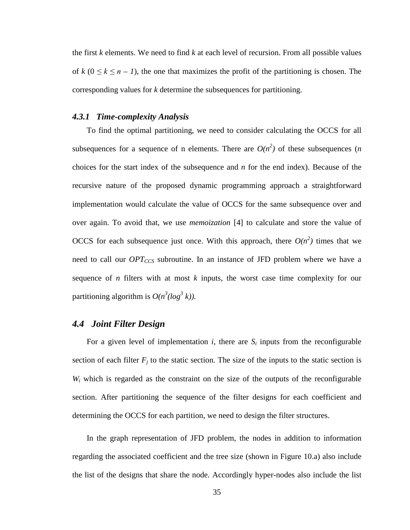the first *k* elements. We need to find *k* at each level of recursion. From all possible values of  $k$  ( $0 \le k \le n - 1$ ), the one that maximizes the profit of the partitioning is chosen. The corresponding values for *k* determine the subsequences for partitioning.

#### *4.3.1 Time-complexity Analysis*

To find the optimal partitioning, we need to consider calculating the OCCS for all subsequences for a sequence of n elements. There are  $O(n^2)$  of these subsequences (*n* choices for the start index of the subsequence and *n* for the end index). Because of the recursive nature of the proposed dynamic programming approach a straightforward implementation would calculate the value of OCCS for the same subsequence over and over again. To avoid that, we use *memoization* [\[4\]](#page-49-9) to calculate and store the value of OCCS for each subsequence just once. With this approach, there  $O(n^2)$  times that we need to call our *OPT<sub>CCS</sub>* subroutine. In an instance of JFD problem where we have a sequence of *n* filters with at most *k* inputs, the worst case time complexity for our partitioning algorithm is  $O(n^3(log^3 k))$ .

### *4.4 Joint Filter Design*

For a given level of implementation  $i$ , there are  $S_i$  inputs from the reconfigurable section of each filter  $F_j$  to the static section. The size of the inputs to the static section is *Wi* which is regarded as the constraint on the size of the outputs of the reconfigurable section. After partitioning the sequence of the filter designs for each coefficient and determining the OCCS for each partition, we need to design the filter structures.

In the graph representation of JFD problem, the nodes in addition to information regarding the associated coefficient and the tree size (shown in [Figure 10.](#page-28-0)a) also include the list of the designs that share the node. Accordingly hyper-nodes also include the list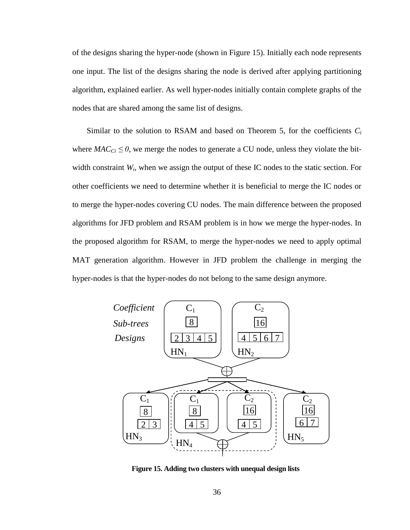of the designs sharing the hyper-node (shown in [Figure 15\)](#page-37-0). Initially each node represents one input. The list of the designs sharing the node is derived after applying partitioning algorithm, explained earlier. As well hyper-nodes initially contain complete graphs of the nodes that are shared among the same list of designs.

Similar to the solution to RSAM and based on Theorem 5, for the coefficients *Ci* where  $MAC_{Ci} \leq 0$ , we merge the nodes to generate a CU node, unless they violate the bitwidth constraint *Wi*, when we assign the output of these IC nodes to the static section. For other coefficients we need to determine whether it is beneficial to merge the IC nodes or to merge the hyper-nodes covering CU nodes. The main difference between the proposed algorithms for JFD problem and RSAM problem is in how we merge the hyper-nodes. In the proposed algorithm for RSAM, to merge the hyper-nodes we need to apply optimal MAT generation algorithm. However in JFD problem the challenge in merging the hyper-nodes is that the hyper-nodes do not belong to the same design anymore.



<span id="page-37-0"></span>**Figure 15. Adding two clusters with unequal design lists**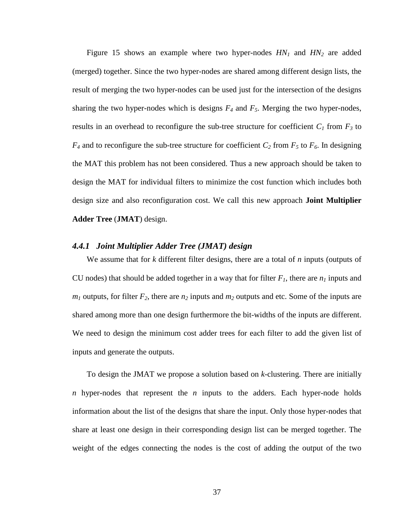[Figure 15](#page-37-0) shows an example where two hyper-nodes *HN1* and *HN2* are added (merged) together. Since the two hyper-nodes are shared among different design lists, the result of merging the two hyper-nodes can be used just for the intersection of the designs sharing the two hyper-nodes which is designs  $F_4$  and  $F_5$ . Merging the two hyper-nodes, results in an overhead to reconfigure the sub-tree structure for coefficient  $C_1$  from  $F_3$  to  $F_4$  and to reconfigure the sub-tree structure for coefficient  $C_2$  from  $F_5$  to  $F_6$ . In designing the MAT this problem has not been considered. Thus a new approach should be taken to design the MAT for individual filters to minimize the cost function which includes both design size and also reconfiguration cost. We call this new approach **Joint Multiplier Adder Tree** (**JMAT**) design.

#### *4.4.1 Joint Multiplier Adder Tree (JMAT) design*

We assume that for *k* different filter designs, there are a total of *n* inputs (outputs of CU nodes) that should be added together in a way that for filter  $F_I$ , there are  $n_I$  inputs and  $m_1$  outputs, for filter  $F_2$ , there are  $n_2$  inputs and  $m_2$  outputs and etc. Some of the inputs are shared among more than one design furthermore the bit-widths of the inputs are different. We need to design the minimum cost adder trees for each filter to add the given list of inputs and generate the outputs.

To design the JMAT we propose a solution based on *k*-clustering. There are initially *n* hyper-nodes that represent the *n* inputs to the adders. Each hyper-node holds information about the list of the designs that share the input. Only those hyper-nodes that share at least one design in their corresponding design list can be merged together. The weight of the edges connecting the nodes is the cost of adding the output of the two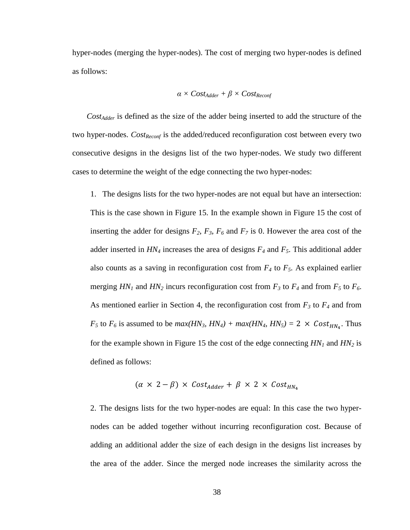hyper-nodes (merging the hyper-nodes). The cost of merging two hyper-nodes is defined as follows:

$$
\alpha \times Cost_{Adder} + \beta \times Cost_{Reconf}
$$

*CostAdder* is defined as the size of the adder being inserted to add the structure of the two hyper-nodes. *Cost<sub>Reconf</sub>* is the added/reduced reconfiguration cost between every two consecutive designs in the designs list of the two hyper-nodes. We study two different cases to determine the weight of the edge connecting the two hyper-nodes:

1. The designs lists for the two hyper-nodes are not equal but have an intersection: This is the case shown in [Figure 15.](#page-37-0) In the example shown in [Figure 15](#page-37-0) the cost of inserting the adder for designs  $F_2$ ,  $F_3$ ,  $F_6$  and  $F_7$  is 0. However the area cost of the adder inserted in *HN4* increases the area of designs *F4* and *F5*. This additional adder also counts as a saving in reconfiguration cost from  $F_4$  to  $F_5$ . As explained earlier merging  $HN_1$  and  $HN_2$  incurs reconfiguration cost from  $F_3$  to  $F_4$  and from  $F_5$  to  $F_6$ . As mentioned earlier in Section [4,](#page-29-0) the reconfiguration cost from  $F_3$  to  $F_4$  and from  $F_5$  to  $F_6$  is assumed to be  $max(HN_3, HN_4) + max(HN_4, HN_5) = 2 \times Cost_{HN_4}$ . Thus for the example shown in [Figure 15](#page-37-0) the cost of the edge connecting  $HN_1$  and  $HN_2$  is defined as follows:

$$
(\alpha \times 2 - \beta) \times Cost_{Adder} + \beta \times 2 \times Cost_{HN_4}
$$

2. The designs lists for the two hyper-nodes are equal: In this case the two hypernodes can be added together without incurring reconfiguration cost. Because of adding an additional adder the size of each design in the designs list increases by the area of the adder. Since the merged node increases the similarity across the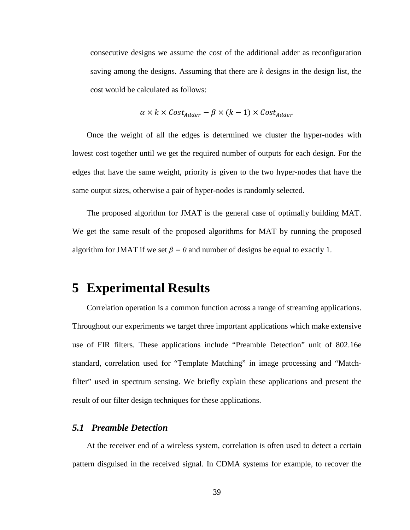consecutive designs we assume the cost of the additional adder as reconfiguration saving among the designs. Assuming that there are *k* designs in the design list, the cost would be calculated as follows:

$$
\alpha \times k \times Cost_{Adder} - \beta \times (k-1) \times Cost_{Adder}
$$

Once the weight of all the edges is determined we cluster the hyper-nodes with lowest cost together until we get the required number of outputs for each design. For the edges that have the same weight, priority is given to the two hyper-nodes that have the same output sizes, otherwise a pair of hyper-nodes is randomly selected.

The proposed algorithm for JMAT is the general case of optimally building MAT. We get the same result of the proposed algorithms for MAT by running the proposed algorithm for JMAT if we set  $\beta = 0$  and number of designs be equal to exactly 1.

## <span id="page-40-0"></span>**5 Experimental Results**

Correlation operation is a common function across a range of streaming applications. Throughout our experiments we target three important applications which make extensive use of FIR filters. These applications include "Preamble Detection" unit of 802.16e standard, correlation used for "Template Matching" in image processing and "Matchfilter" used in spectrum sensing. We briefly explain these applications and present the result of our filter design techniques for these applications.

### *5.1 Preamble Detection*

At the receiver end of a wireless system, correlation is often used to detect a certain pattern disguised in the received signal. In CDMA systems for example, to recover the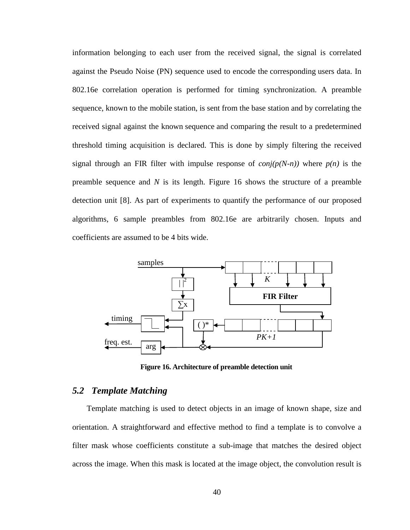information belonging to each user from the received signal, the signal is correlated against the Pseudo Noise (PN) sequence used to encode the corresponding users data. In 802.16e correlation operation is performed for timing synchronization. A preamble sequence, known to the mobile station, is sent from the base station and by correlating the received signal against the known sequence and comparing the result to a predetermined threshold timing acquisition is declared. This is done by simply filtering the received signal through an FIR filter with impulse response of  $conj(p(N-n))$  where  $p(n)$  is the preamble sequence and *N* is its length. [Figure 16](#page-41-0) shows the structure of a preamble detection unit [\[8\].](#page-49-10) As part of experiments to quantify the performance of our proposed algorithms, 6 sample preambles from 802.16e are arbitrarily chosen. Inputs and coefficients are assumed to be 4 bits wide.



**Figure 16. Architecture of preamble detection unit**

### <span id="page-41-0"></span>*5.2 Template Matching*

Template matching is used to detect objects in an image of known shape, size and orientation. A straightforward and effective method to find a template is to convolve a filter mask whose coefficients constitute a sub-image that matches the desired object across the image. When this mask is located at the image object, the convolution result is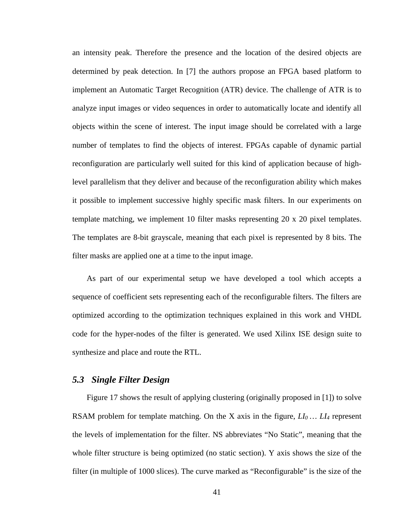an intensity peak. Therefore the presence and the location of the desired objects are determined by peak detection. In [\[7\]](#page-49-4) the authors propose an FPGA based platform to implement an Automatic Target Recognition (ATR) device. The challenge of ATR is to analyze input images or video sequences in order to automatically locate and identify all objects within the scene of interest. The input image should be correlated with a large number of templates to find the objects of interest. FPGAs capable of dynamic partial reconfiguration are particularly well suited for this kind of application because of highlevel parallelism that they deliver and because of the reconfiguration ability which makes it possible to implement successive highly specific mask filters. In our experiments on template matching, we implement 10 filter masks representing 20 x 20 pixel templates. The templates are 8-bit grayscale, meaning that each pixel is represented by 8 bits. The filter masks are applied one at a time to the input image.

As part of our experimental setup we have developed a tool which accepts a sequence of coefficient sets representing each of the reconfigurable filters. The filters are optimized according to the optimization techniques explained in this work and VHDL code for the hyper-nodes of the filter is generated. We used Xilinx ISE design suite to synthesize and place and route the RTL.

#### *5.3 Single Filter Design*

[Figure 17](#page-43-0) shows the result of applying clustering (originally proposed in [1]) to solve RSAM problem for template matching. On the X axis in the figure,  $LI_0$   $\ldots$   $LI_4$  represent the levels of implementation for the filter. NS abbreviates "No Static", meaning that the whole filter structure is being optimized (no static section). Y axis shows the size of the filter (in multiple of 1000 slices). The curve marked as "Reconfigurable" is the size of the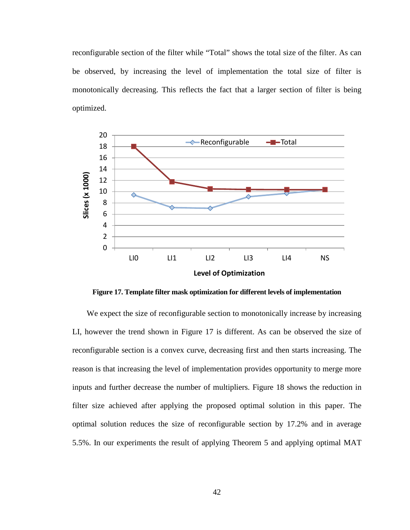reconfigurable section of the filter while "Total" shows the total size of the filter. As can be observed, by increasing the level of implementation the total size of filter is monotonically decreasing. This reflects the fact that a larger section of filter is being optimized.



<span id="page-43-0"></span>**Figure 17. Template filter mask optimization for different levels of implementation**

We expect the size of reconfigurable section to monotonically increase by increasing LI, however the trend shown in [Figure 17](#page-43-0) is different. As can be observed the size of reconfigurable section is a convex curve, decreasing first and then starts increasing. The reason is that increasing the level of implementation provides opportunity to merge more inputs and further decrease the number of multipliers. [Figure 18](#page-44-0) shows the reduction in filter size achieved after applying the proposed optimal solution in this paper. The optimal solution reduces the size of reconfigurable section by 17.2% and in average 5.5%. In our experiments the result of applying Theorem 5 and applying optimal MAT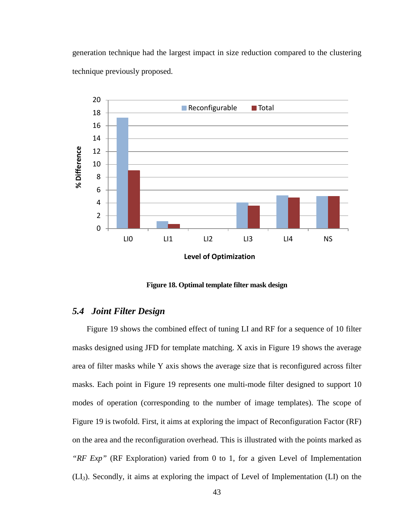generation technique had the largest impact in size reduction compared to the clustering technique previously proposed.



**Figure 18. Optimal template filter mask design**

### <span id="page-44-0"></span>*5.4 Joint Filter Design*

[Figure 19](#page-45-0) shows the combined effect of tuning LI and RF for a sequence of 10 filter masks designed using JFD for template matching. X axis in [Figure 19](#page-45-0) shows the average area of filter masks while Y axis shows the average size that is reconfigured across filter masks. Each point in [Figure 19](#page-45-0) represents one multi-mode filter designed to support 10 modes of operation (corresponding to the number of image templates). The scope of [Figure 19](#page-45-0) is twofold. First, it aims at exploring the impact of Reconfiguration Factor (RF) on the area and the reconfiguration overhead. This is illustrated with the points marked as *"RF Exp"* (RF Exploration) varied from 0 to 1, for a given Level of Implementation (LI*3*). Secondly, it aims at exploring the impact of Level of Implementation (LI) on the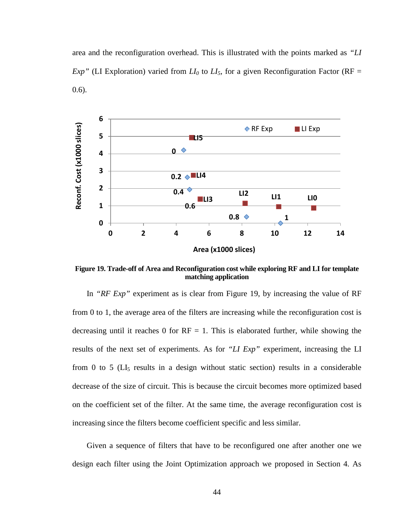area and the reconfiguration overhead. This is illustrated with the points marked as *"LI Exp*" (LI Exploration) varied from  $LI_0$  to  $LI_5$ , for a given Reconfiguration Factor (RF = 0.6).



<span id="page-45-0"></span>**Figure 19. Trade-off of Area and Reconfiguration cost while exploring RF and LI for template matching application**

In *"RF Exp"* experiment as is clear from [Figure 19,](#page-45-0) by increasing the value of RF from 0 to 1, the average area of the filters are increasing while the reconfiguration cost is decreasing until it reaches 0 for  $RF = 1$ . This is elaborated further, while showing the results of the next set of experiments. As for *"LI Exp"* experiment, increasing the LI from 0 to 5 ( $LI<sub>5</sub>$  results in a design without static section) results in a considerable decrease of the size of circuit. This is because the circuit becomes more optimized based on the coefficient set of the filter. At the same time, the average reconfiguration cost is increasing since the filters become coefficient specific and less similar.

Given a sequence of filters that have to be reconfigured one after another one we design each filter using the Joint Optimization approach we proposed in Section [4.](#page-29-0) As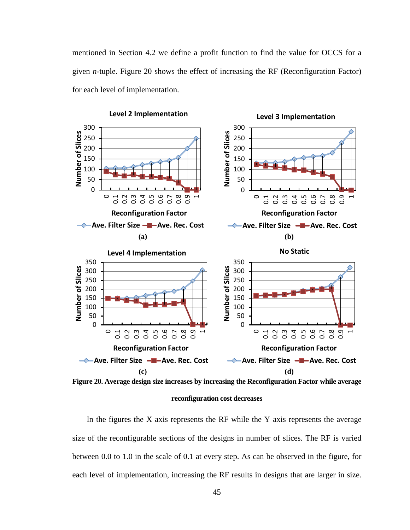mentioned in Section [4.2](#page-33-1) we define a profit function to find the value for OCCS for a given *n*-tuple. [Figure 20](#page-46-0) shows the effect of increasing the RF (Reconfiguration Factor) for each level of implementation.



<span id="page-46-0"></span>**Figure 20. Average design size increases by increasing the Reconfiguration Factor while average** 

#### **reconfiguration cost decreases**

In the figures the  $X$  axis represents the RF while the  $Y$  axis represents the average size of the reconfigurable sections of the designs in number of slices. The RF is varied between 0.0 to 1.0 in the scale of 0.1 at every step. As can be observed in the figure, for each level of implementation, increasing the RF results in designs that are larger in size.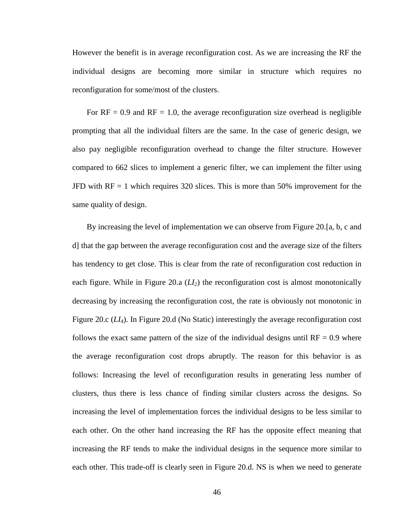However the benefit is in average reconfiguration cost. As we are increasing the RF the individual designs are becoming more similar in structure which requires no reconfiguration for some/most of the clusters.

For  $RF = 0.9$  and  $RF = 1.0$ , the average reconfiguration size overhead is negligible prompting that all the individual filters are the same. In the case of generic design, we also pay negligible reconfiguration overhead to change the filter structure. However compared to 662 slices to implement a generic filter, we can implement the filter using JFD with RF = 1 which requires 320 slices. This is more than 50% improvement for the same quality of design.

By increasing the level of implementation we can observe from [Figure 20.](#page-46-0)[a, b, c and d] that the gap between the average reconfiguration cost and the average size of the filters has tendency to get close. This is clear from the rate of reconfiguration cost reduction in each figure. While in [Figure 20.](#page-46-0)a (*LI2*) the reconfiguration cost is almost monotonically decreasing by increasing the reconfiguration cost, the rate is obviously not monotonic in [Figure 20.](#page-46-0)c (*LI4*). In [Figure 20.](#page-46-0)d (No Static) interestingly the average reconfiguration cost follows the exact same pattern of the size of the individual designs until  $RF = 0.9$  where the average reconfiguration cost drops abruptly. The reason for this behavior is as follows: Increasing the level of reconfiguration results in generating less number of clusters, thus there is less chance of finding similar clusters across the designs. So increasing the level of implementation forces the individual designs to be less similar to each other. On the other hand increasing the RF has the opposite effect meaning that increasing the RF tends to make the individual designs in the sequence more similar to each other. This trade-off is clearly seen in [Figure 20.](#page-46-0)d. NS is when we need to generate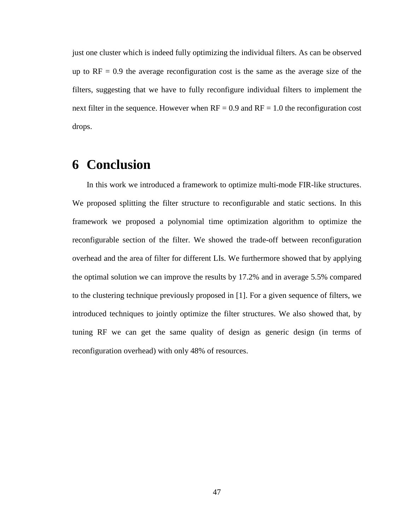just one cluster which is indeed fully optimizing the individual filters. As can be observed up to  $RF = 0.9$  the average reconfiguration cost is the same as the average size of the filters, suggesting that we have to fully reconfigure individual filters to implement the next filter in the sequence. However when  $RF = 0.9$  and  $RF = 1.0$  the reconfiguration cost drops.

# **6 Conclusion**

In this work we introduced a framework to optimize multi-mode FIR-like structures. We proposed splitting the filter structure to reconfigurable and static sections. In this framework we proposed a polynomial time optimization algorithm to optimize the reconfigurable section of the filter. We showed the trade-off between reconfiguration overhead and the area of filter for different LIs. We furthermore showed that by applying the optimal solution we can improve the results by 17.2% and in average 5.5% compared to the clustering technique previously proposed in [\[1\].](#page-49-0) For a given sequence of filters, we introduced techniques to jointly optimize the filter structures. We also showed that, by tuning RF we can get the same quality of design as generic design (in terms of reconfiguration overhead) with only 48% of resources.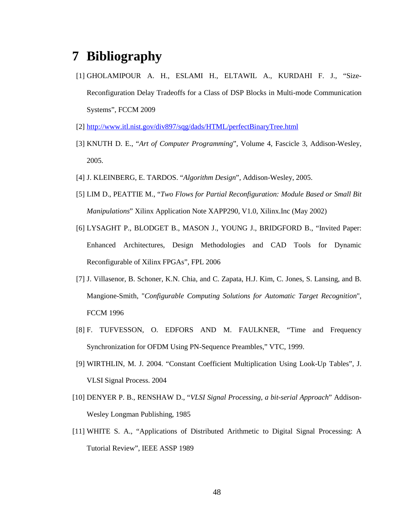# **7 Bibliography**

- <span id="page-49-0"></span>[1] GHOLAMIPOUR A. H., ESLAMI H., ELTAWIL A., KURDAHI F. J., "Size-Reconfiguration Delay Tradeoffs for a Class of DSP Blocks in Multi-mode Communication Systems", FCCM 2009
- <span id="page-49-5"></span>[2] <http://www.itl.nist.gov/div897/sqg/dads/HTML/perfectBinaryTree.html>
- <span id="page-49-6"></span>[3] KNUTH D. E., "*Art of Computer Programming*", Volume 4, Fascicle 3, Addison-Wesley, 2005.
- <span id="page-49-9"></span>[4] J. KLEINBERG, E. TARDOS. "*Algorithm Design*", Addison-Wesley, 2005.
- <span id="page-49-8"></span>[5] LIM D., PEATTIE M., "*Two Flows for Partial Reconfiguration: Module Based or Small Bit Manipulations*" Xilinx Application Note XAPP290, V1.0, Xilinx.Inc (May 2002)
- <span id="page-49-7"></span>[6] LYSAGHT P., BLODGET B., MASON J., YOUNG J., BRIDGFORD B., "Invited Paper: Enhanced Architectures, Design Methodologies and CAD Tools for Dynamic Reconfigurable of Xilinx FPGAs", FPL 2006
- <span id="page-49-4"></span>[7] J. Villasenor, B. Schoner, K.N. Chia, and C. Zapata, H.J. Kim, C. Jones, S. Lansing, and B. Mangione-Smith, "*Configurable Computing Solutions for Automatic Target Recognition*", FCCM 1996
- <span id="page-49-10"></span>[8] F. TUFVESSON, O. EDFORS AND M. FAULKNER, "Time and Frequency Synchronization for OFDM Using PN-Sequence Preambles," VTC, 1999.
- <span id="page-49-3"></span>[9] WIRTHLIN, M. J. 2004. "Constant Coefficient Multiplication Using Look-Up Tables", J. VLSI Signal Process. 2004
- <span id="page-49-2"></span>[10] DENYER P. B., RENSHAW D., "*VLSI Signal Processing, a bit-serial Approach*" Addison-Wesley Longman Publishing, 1985
- <span id="page-49-1"></span>[11] WHITE S. A., "Applications of Distributed Arithmetic to Digital Signal Processing: A Tutorial Review", IEEE ASSP 1989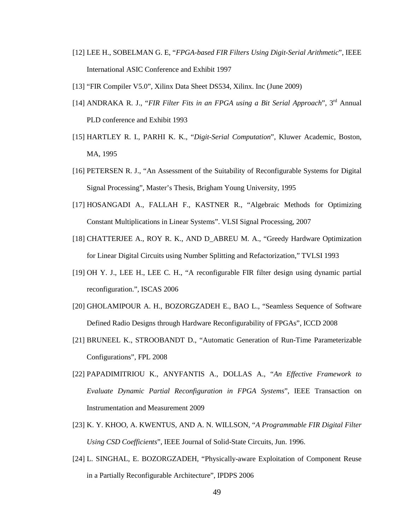- <span id="page-50-1"></span>[12] LEE H., SOBELMAN G. E, "*FPGA-based FIR Filters Using Digit-Serial Arithmetic*", IEEE International ASIC Conference and Exhibit 1997
- <span id="page-50-0"></span>[13] "FIR Compiler V5.0", Xilinx Data Sheet DS534, Xilinx. Inc (June 2009)
- <span id="page-50-2"></span>[14] ANDRAKA R. J., "*FIR Filter Fits in an FPGA using a Bit Serial Approach*", 3rd Annual PLD conference and Exhibit 1993
- <span id="page-50-3"></span>[15] HARTLEY R. I., PARHI K. K., "*Digit-Serial Computation*", Kluwer Academic, Boston, MA, 1995
- <span id="page-50-4"></span>[16] PETERSEN R. J., "An Assessment of the Suitability of Reconfigurable Systems for Digital Signal Processing", Master's Thesis, Brigham Young University, 1995
- <span id="page-50-5"></span>[17] HOSANGADI A., FALLAH F., KASTNER R., "Algebraic Methods for Optimizing Constant Multiplications in Linear Systems". VLSI Signal Processing, 2007
- <span id="page-50-6"></span>[18] CHATTERJEE A., ROY R. K., AND D\_ABREU M. A., "Greedy Hardware Optimization for Linear Digital Circuits using Number Splitting and Refactorization," TVLSI 1993
- <span id="page-50-7"></span>[19] OH Y. J., LEE H., LEE C. H., "A reconfigurable FIR filter design using dynamic partial reconfiguration.", ISCAS 2006
- <span id="page-50-9"></span>[20] GHOLAMIPOUR A. H., BOZORGZADEH E., BAO L., "Seamless Sequence of Software Defined Radio Designs through Hardware Reconfigurability of FPGAs", ICCD 2008
- <span id="page-50-11"></span>[21] BRUNEEL K., STROOBANDT D., "Automatic Generation of Run-Time Parameterizable Configurations", FPL 2008
- <span id="page-50-10"></span>[22] PAPADIMITRIOU K., ANYFANTIS A., DOLLAS A., "*An Effective Framework to Evaluate Dynamic Partial Reconfiguration in FPGA Systems*", IEEE Transaction on Instrumentation and Measurement 2009
- <span id="page-50-8"></span>[23] K. Y. KHOO, A. KWENTUS, AND A. N. WILLSON, "*A Programmable FIR Digital Filter Using CSD Coefficients*", IEEE Journal of Solid-State Circuits, Jun. 1996.
- <span id="page-50-12"></span>[24] L. SINGHAL, E. BOZORGZADEH, "Physically-aware Exploitation of Component Reuse in a Partially Reconfigurable Architecture", IPDPS 2006